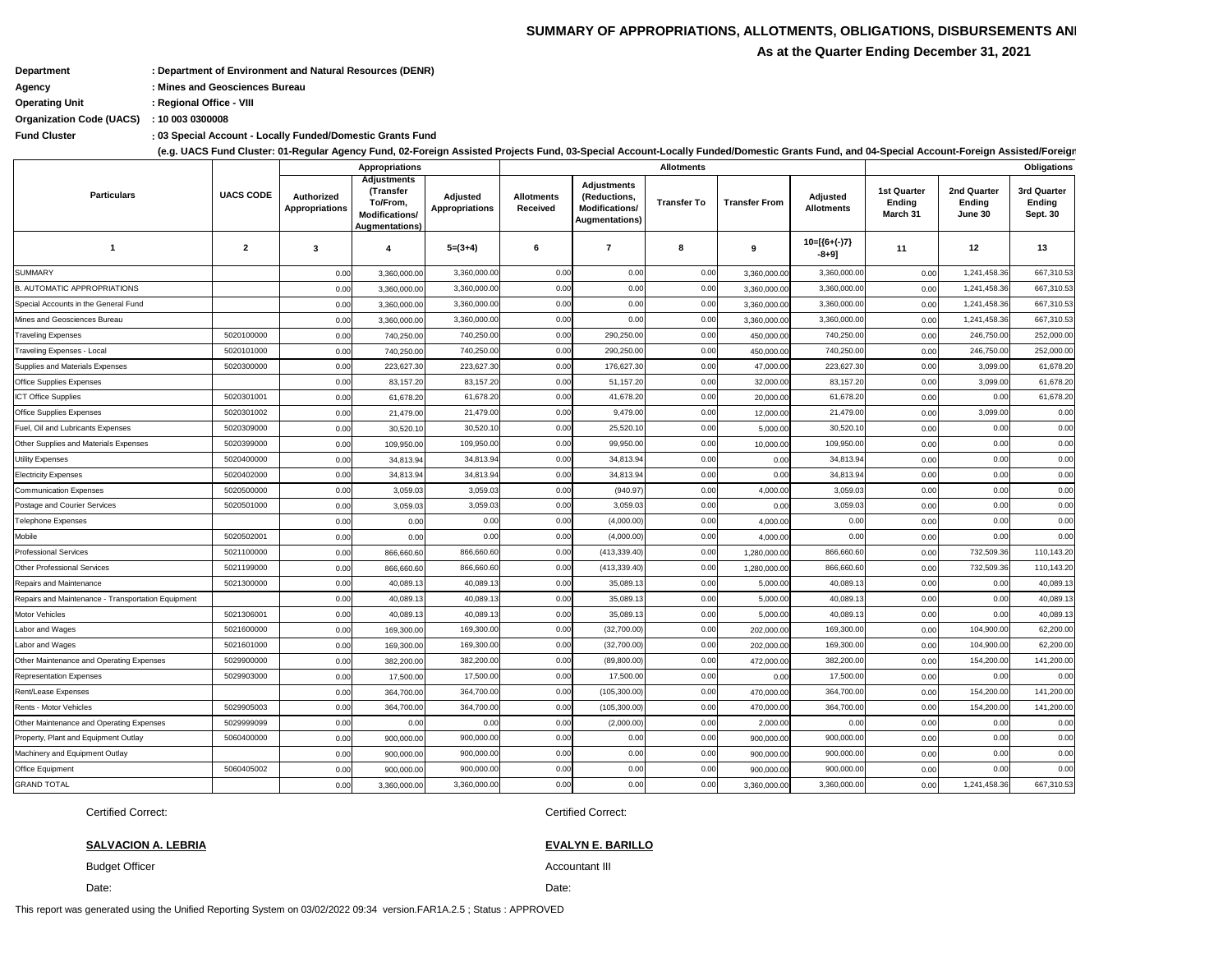This report was generated using the Unified Reporting System on 03/02/2022 09:34 version.FAR1A.2.5 ; Status : APPROVED

Date:

### **SALVACION A. LEBRIA EVALYN E. BARILLO**

Budget Officer **Accountant III** and the United States of the Accountant III and the Accountant III

Certified Correct: Certified Correct:

**: Fund Cluster 03 Special Account - Locally Funded/Domestic Grants Fund**

|                                                    |                  |                                     | <b>Appropriations</b>                                                                          |                                   |                                      |                                                                                      | <b>Allotments</b>  |                      | Obligations                   |                                                 |                                         |                                          |
|----------------------------------------------------|------------------|-------------------------------------|------------------------------------------------------------------------------------------------|-----------------------------------|--------------------------------------|--------------------------------------------------------------------------------------|--------------------|----------------------|-------------------------------|-------------------------------------------------|-----------------------------------------|------------------------------------------|
| <b>Particulars</b>                                 | <b>UACS CODE</b> | Authorized<br><b>Appropriations</b> | <b>Adjustments</b><br>(Transfer<br>To/From,<br><b>Modifications/</b><br><b>Augmentations</b> ) | Adjusted<br><b>Appropriations</b> | <b>Allotments</b><br><b>Received</b> | <b>Adjustments</b><br>(Reductions,<br><b>Modifications/</b><br><b>Augmentations)</b> | <b>Transfer To</b> | <b>Transfer From</b> | Adjusted<br><b>Allotments</b> | <b>1st Quarter</b><br><b>Ending</b><br>March 31 | 2nd Quarter<br><b>Ending</b><br>June 30 | 3rd Quarter<br>Ending<br><b>Sept. 30</b> |
| -1                                                 | $\mathbf{2}$     | 3                                   | 4                                                                                              | $5=(3+4)$                         | 6                                    | 7                                                                                    | 8                  | 9                    | $10=[(6+(-)7)$<br>$-8+9]$     | 11                                              | 12                                      | 13                                       |
| <b>SUMMARY</b>                                     |                  | 0.00                                | 3,360,000.00                                                                                   | 3,360,000.00                      | 0.00                                 | 0.00                                                                                 | 0.00               | 3,360,000.00         | 3,360,000.00                  | 0.00                                            | 1,241,458.36                            | 667,310.53                               |
| <b>B. AUTOMATIC APPROPRIATIONS</b>                 |                  | 0.00                                | 3,360,000.00                                                                                   | 3,360,000.00                      | 0.00                                 | 0.00                                                                                 | 0.00               | 3,360,000.00         | 3,360,000.00                  | 0.00                                            | 1,241,458.36                            | 667,310.53                               |
| Special Accounts in the General Fund               |                  | 0.00                                | 3,360,000.00                                                                                   | 3,360,000.00                      | 0.00                                 | 0.00                                                                                 | 0.00               | 3,360,000.00         | 3,360,000.00                  | 0.00                                            | 1,241,458.36                            | 667,310.53                               |
| Mines and Geosciences Bureau                       |                  | 0.00                                | 3,360,000.00                                                                                   | 3,360,000.00                      | 0.00                                 | 0.00                                                                                 | 0.00               | 3,360,000.00         | 3,360,000.00                  | 0.00                                            | 1,241,458.36                            | 667,310.53                               |
| <b>Traveling Expenses</b>                          | 5020100000       | 0.00                                | 740,250.00                                                                                     | 740,250.00                        | 0.00                                 | 290,250.00                                                                           | 0.00               | 450,000.00           | 740,250.00                    | 0.00                                            | 246,750.00                              | 252,000.00                               |
| Traveling Expenses - Local                         | 5020101000       | 0.00                                | 740,250.00                                                                                     | 740,250.00                        | 0.00                                 | 290,250.00                                                                           | 0.00               | 450,000.00           | 740,250.00                    | 0.00                                            | 246,750.00                              | 252,000.00                               |
| Supplies and Materials Expenses                    | 5020300000       | 0.00                                | 223,627.30                                                                                     | 223,627.30                        | 0.00                                 | 176,627.30                                                                           | 0.00               | 47,000.00            | 223,627.30                    | 0.00                                            | 3,099.00                                | 61,678.20                                |
| <b>Office Supplies Expenses</b>                    |                  | 0.00                                | 83,157.20                                                                                      | 83,157.20                         | 0.00                                 | 51,157.20                                                                            | 0.00               | 32,000.00            | 83,157.20                     | 0.00                                            | 3,099.00                                | 61,678.20                                |
| <b>ICT Office Supplies</b>                         | 5020301001       | 0.00                                | 61,678.20                                                                                      | 61,678.20                         | 0.00                                 | 41,678.20                                                                            | 0.00               | 20,000.00            | 61,678.20                     | 0.00                                            | 0.00                                    | 61,678.20                                |
| <b>Office Supplies Expenses</b>                    | 5020301002       | 0.00                                | 21,479.00                                                                                      | 21,479.00                         | 0.00                                 | 9,479.00                                                                             | 0.00               | 12,000.00            | 21,479.00                     | 0.00                                            | 3,099.00                                | 0.00                                     |
| Fuel, Oil and Lubricants Expenses                  | 5020309000       | 0.00                                | 30,520.10                                                                                      | 30,520.10                         | 0.00                                 | 25,520.1                                                                             | 0.00               | 5,000.00             | 30,520.10                     | 0.00                                            | 0.00                                    | 0.00                                     |
| Other Supplies and Materials Expenses              | 5020399000       | 0.00                                | 109,950.00                                                                                     | 109,950.00                        | 0.00                                 | 99,950.00                                                                            | 0.00               | 10,000.00            | 109,950.00                    | 0.00                                            | 0.00                                    | 0.00                                     |
| <b>Utility Expenses</b>                            | 5020400000       | 0.00                                | 34,813.94                                                                                      | 34,813.94                         | 0.00                                 | 34,813.94                                                                            | 0.00               | 0.00                 | 34,813.94                     | 0.00                                            | 0.00                                    | 0.00                                     |
| <b>Electricity Expenses</b>                        | 5020402000       | 0.00                                | 34,813.94                                                                                      | 34,813.94                         | 0.00                                 | 34,813.94                                                                            | 0.00               | 0.00                 | 34,813.94                     | 0.00                                            | 0.00                                    | 0.00                                     |
| <b>Communication Expenses</b>                      | 5020500000       | 0.00                                | 3,059.03                                                                                       | 3,059.03                          | 0.00                                 | (940.97)                                                                             | 0.00               | 4,000.00             | 3,059.03                      | 0.00                                            | 0.00                                    | 0.00                                     |
| Postage and Courier Services                       | 5020501000       | 0.00                                | 3,059.03                                                                                       | 3,059.03                          | 0.00                                 | 3,059.03                                                                             | 0.00               | 0.00                 | 3,059.03                      | 0.00                                            | 0.00                                    | 0.00                                     |
| Telephone Expenses                                 |                  | 0.00                                | 0.00                                                                                           | 0.00                              | 0.00                                 | (4,000.00)                                                                           | 0.00               | 4,000.00             | 0.00                          | 0.00                                            | 0.00                                    | 0.00                                     |
| Mobile                                             | 5020502001       | 0.00                                | 0.00                                                                                           | 0.00                              | 0.00                                 | (4,000.00)                                                                           | 0.00               | 4,000.00             | 0.00                          | 0.00                                            | 0.00                                    | 0.00                                     |
| <b>Professional Services</b>                       | 5021100000       | 0.00                                | 866,660.60                                                                                     | 866,660.60                        | 0.00                                 | (413, 339.40)                                                                        | 0.00               | 1,280,000.00         | 866,660.60                    | 0.00                                            | 732,509.36                              | 110,143.20                               |
| <b>Other Professional Services</b>                 | 5021199000       | 0.00                                | 866,660.60                                                                                     | 866,660.60                        | 0.00                                 | (413,339.40                                                                          | 0.00               | 1,280,000.00         | 866,660.60                    | 0.00                                            | 732,509.36                              | 110,143.20                               |
| Repairs and Maintenance                            | 5021300000       | 0.00                                | 40,089.13                                                                                      | 40,089.13                         | 0.00                                 | 35,089.13                                                                            | 0.00               | 5,000.00             | 40,089.13                     | 0.00                                            | 0.00                                    | 40,089.13                                |
| Repairs and Maintenance - Transportation Equipment |                  | 0.00                                | 40,089.13                                                                                      | 40,089.13                         | 0.00                                 | 35,089.13                                                                            | 0.00               | 5,000.00             | 40,089.1                      | 0.00                                            | 0.00                                    | 40,089.13                                |
| Motor Vehicles                                     | 5021306001       | 0.00                                | 40,089.13                                                                                      | 40,089.13                         | 0.00                                 | 35,089.13                                                                            | 0.00               | 5,000.00             | 40,089.13                     | 0.00                                            | 0.00                                    | 40,089.13                                |
| Labor and Wages                                    | 5021600000       | 0.00                                | 169,300.00                                                                                     | 169,300.00                        | 0.00                                 | (32,700.00)                                                                          | 0.00               | 202,000.00           | 169,300.00                    | 0.00                                            | 104,900.00                              | 62,200.00                                |
| Labor and Wages                                    | 5021601000       | 0.00                                | 169,300.00                                                                                     | 169,300.00                        | 0.00                                 | (32,700.00)                                                                          | 0.00               | 202,000.00           | 169,300.00                    | 0.00                                            | 104,900.00                              | 62,200.00                                |
| Other Maintenance and Operating Expenses           | 5029900000       | 0.00                                | 382,200.00                                                                                     | 382,200.00                        | 0.00                                 | (89, 800.00)                                                                         | 0.00               | 472,000.00           | 382,200.00                    | 0.00                                            | 154,200.00                              | 141,200.00                               |
| <b>Representation Expenses</b>                     | 5029903000       | 0.00                                | 17,500.00                                                                                      | 17,500.00                         | 0.00                                 | 17,500.00                                                                            | 0.00               | 0.00                 | 17,500.00                     | 0.00                                            | 0.00                                    | 0.00                                     |
| Rent/Lease Expenses                                |                  | 0.00                                | 364,700.00                                                                                     | 364,700.00                        | 0.00                                 | (105, 300.00)                                                                        | 0.00               | 470,000.00           | 364,700.00                    | 0.00                                            | 154,200.00                              | 141,200.00                               |
| Rents - Motor Vehicles                             | 5029905003       | 0.00                                | 364,700.00                                                                                     | 364,700.00                        | 0.00                                 | (105, 300.00)                                                                        | 0.00               | 470,000.00           | 364,700.00                    | 0.00                                            | 154,200.00                              | 141,200.00                               |
| Other Maintenance and Operating Expenses           | 5029999099       | 0.00                                | 0.00                                                                                           | 0.00                              | 0.00                                 | (2,000.00)                                                                           | 0.00               | 2,000.00             | 0.00                          | 0.00                                            | 0.00                                    | 0.00                                     |
| Property, Plant and Equipment Outlay               | 5060400000       | 0.00                                | 900,000.00                                                                                     | 900,000.00                        | 0.00                                 | 0.00                                                                                 | 0.00               | 900,000.00           | 900,000.00                    | 0.00                                            | 0.00                                    | 0.00                                     |
| Machinery and Equipment Outlay                     |                  | 0.00                                | 900,000.00                                                                                     | 900,000.00                        | 0.00                                 | 0.00                                                                                 | 0.00               | 900,000.00           | 900,000.00                    | 0.00                                            | 0.00                                    | 0.00                                     |
| Office Equipment                                   | 5060405002       | 0.00                                | 900,000.00                                                                                     | 900,000.00                        | 0.00                                 | 0.00                                                                                 | 0.00               | 900,000.00           | 900,000.00                    | 0.00                                            | 0.00                                    | 0.00                                     |
| <b>GRAND TOTAL</b>                                 |                  | 0.00                                | 3,360,000.00                                                                                   | 3,360,000.00                      | 0.00                                 | 0.00                                                                                 | 0.00               | 3,360,000.00         | 3,360,000.00                  | 0.00                                            | 1,241,458.36                            | 667,310.53                               |

# **SUMMARY OF APPROPRIATIONS, ALLOTMENTS, OBLIGATIONS, DISBURSEMENTS AND As at the Quarter Ending December 31, 2021**

**(e.g. UACS Fund Cluster: 01-Regular Agency Fund, 02-Foreign Assisted Projects Fund, 03-Special Account-Locally Funded/Domestic Grants Fund, and 04-Special Account-Foreign Assisted/Foreign Grants Fund)**

**Organization Code (UACS) : 10 003 0300008**

### **Department : Department of Environment and Natural Resources (DENR)**

**Agency : Mines and Geosciences Bureau**

**Operating Unit : Regional Office - VIII**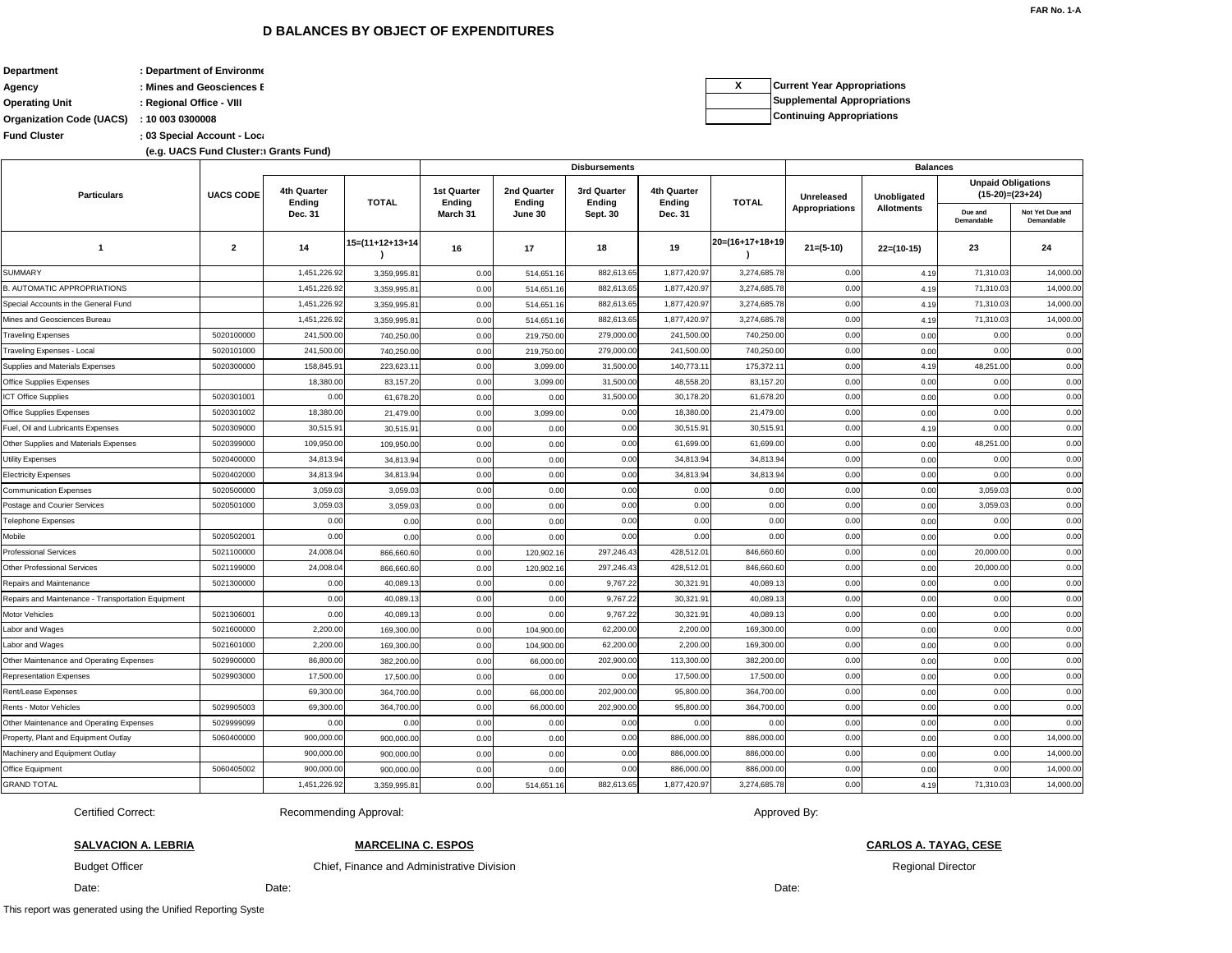Budget Officer

### **SALVACION A. LEBRIA**

Certified Correct:

### **D BALANCES BY OBJECT OF EXPENDITURES** THE RESERVE TO A 2007 THE RESERVE TO BE A 2007 THE RESERVE TO BE A 2007 THE RESERVE TO BE A 2007 THE RESERVE OF STATISTICAL INTERFERING TO A 2007 THE RESERVE OF STATISTIC RESERVE THE

**Organization Code (UACS) : 10 003 0300008 Department 12 COLLEGE 12 CONGREGERATION RESOURCES (DENR)**<br> **:** Department 6 Environment and Natural Resources (DENR) **Agency bureau : Mines and Geosciences E Operating Unit : Regional Office - VIII**

**Fund Cluster Cluster 103 Special Account - Loc**ally Fund

**Continuing Appropriations X Current Year Appropriations Priations** 

|                                                    |                  |                       | <b>Disbursements</b> |                              |                       |                              |                              |                 |                       | <b>Balances</b>   |                                                |                               |  |  |
|----------------------------------------------------|------------------|-----------------------|----------------------|------------------------------|-----------------------|------------------------------|------------------------------|-----------------|-----------------------|-------------------|------------------------------------------------|-------------------------------|--|--|
| <b>Particulars</b>                                 | <b>UACS CODE</b> | 4th Quarter<br>Ending | <b>TOTAL</b>         | 1st Quarter<br><b>Ending</b> | 2nd Quarter<br>Ending | 3rd Quarter<br><b>Ending</b> | 4th Quarter<br><b>Ending</b> | <b>TOTAL</b>    | Unreleased            | Unobligated       | <b>Unpaid Obligations</b><br>$(15-20)=(23+24)$ |                               |  |  |
|                                                    |                  | <b>Dec. 31</b>        |                      | March 31                     | June 30               | <b>Sept. 30</b>              | Dec. 31                      |                 | <b>Appropriations</b> | <b>Allotments</b> | Due and<br>Demandable                          | Not Yet Due and<br>Demandable |  |  |
| -1                                                 | $\mathbf{2}$     | 14                    | 15=(11+12+13+14      | 16                           | 17                    | 18                           | 19                           | 20=(16+17+18+19 | $21=(5-10)$           | $22=(10-15)$      | 23                                             | 24                            |  |  |
| <b>SUMMARY</b>                                     |                  | 1,451,226.92          | 3,359,995.81         | 0.00                         | 514,651.16            | 882,613.65                   | 1,877,420.97                 | 3,274,685.78    | 0.00                  | 4.19              | 71,310.03                                      | 14,000.00                     |  |  |
| <b>B. AUTOMATIC APPROPRIATIONS</b>                 |                  | 1,451,226.92          | 3,359,995.81         | 0.00                         | 514,651.16            | 882,613.65                   | 1,877,420.97                 | 3,274,685.78    | 0.00                  | 4.19              | 71,310.03                                      | 14,000.00                     |  |  |
| Special Accounts in the General Fund               |                  | 1,451,226.92          | 3,359,995.81         | 0.00                         | 514,651.16            | 882,613.65                   | 1,877,420.97                 | 3,274,685.78    | 0.00                  | 4.19              | 71,310.03                                      | 14,000.00                     |  |  |
| Mines and Geosciences Bureau                       |                  | 1,451,226.92          | 3,359,995.81         | 0.00                         | 514,651.16            | 882,613.65                   | 1,877,420.97                 | 3,274,685.78    | 0.00                  | 4.19              | 71,310.03                                      | 14,000.00                     |  |  |
| <b>Traveling Expenses</b>                          | 5020100000       | 241,500.00            | 740,250.00           | 0.00                         | 219,750.00            | 279,000.00                   | 241,500.00                   | 740,250.00      | 0.00                  | 0.00              | 0.00                                           | 0.00                          |  |  |
| Traveling Expenses - Local                         | 5020101000       | 241,500.00            | 740,250.00           | 0.00                         | 219,750.00            | 279,000.00                   | 241,500.00                   | 740,250.00      | 0.00                  | 0.00              | 0.00                                           | 0.00                          |  |  |
| Supplies and Materials Expenses                    | 5020300000       | 158,845.91            | 223,623.11           | 0.00                         | 3,099.00              | 31,500.00                    | 140,773.1                    | 175,372.1       | 0.00                  | 4.19              | 48,251.00                                      | 0.00                          |  |  |
| Office Supplies Expenses                           |                  | 18,380.00             | 83,157.20            | 0.00                         | 3,099.00              | 31,500.00                    | 48,558.20                    | 83,157.20       | 0.00                  | 0.00              | 0.00                                           | 0.00                          |  |  |
| ICT Office Supplies                                | 5020301001       | 0.00                  | 61,678.20            | 0.00                         | 0.00                  | 31,500.00                    | 30,178.20                    | 61,678.20       | 0.00                  | 0.00              | 0.00                                           | 0.00                          |  |  |
| <b>Office Supplies Expenses</b>                    | 5020301002       | 18,380.00             | 21,479.00            | 0.00                         | 3,099.00              | 0.00                         | 18,380.00                    | 21,479.00       | 0.00                  | 0.00              | 0.00                                           | 0.00                          |  |  |
| Fuel, Oil and Lubricants Expenses                  | 5020309000       | 30,515.91             | 30,515.91            | 0.00                         | 0.00                  | 0.00                         | 30,515.91                    | 30,515.9        | 0.00                  | 4.19              | 0.00                                           | 0.00                          |  |  |
| Other Supplies and Materials Expenses              | 5020399000       | 109,950.00            | 109,950.00           | 0.00                         | 0.00                  | 0.00                         | 61,699.00                    | 61,699.00       | 0.00                  | 0.00              | 48,251.00                                      | 0.00                          |  |  |
| <b>Utility Expenses</b>                            | 5020400000       | 34,813.94             | 34,813.94            | 0.00                         | 0.00                  | 0.00                         | 34,813.94                    | 34,813.94       | 0.00                  | 0.00              | 0.00                                           | 0.00                          |  |  |
| <b>Electricity Expenses</b>                        | 5020402000       | 34,813.94             | 34,813.94            | 0.00                         | 0.00                  | 0.00                         | 34,813.94                    | 34,813.94       | 0.00                  | 0.00              | 0.00                                           | 0.00                          |  |  |
| <b>Communication Expenses</b>                      | 5020500000       | 3,059.03              | 3,059.03             | 0.00                         | 0.00                  | 0.00                         | 0.00                         | 0.00            | 0.00                  | 0.00              | 3,059.03                                       | 0.00                          |  |  |
| Postage and Courier Services                       | 5020501000       | 3,059.03              | 3,059.03             | 0.00                         | 0.00                  | 0.00                         | 0.00                         | 0.00            | 0.00                  | 0.00              | 3,059.03                                       | 0.00                          |  |  |
| <b>Telephone Expenses</b>                          |                  | 0.00                  | 0.00                 | 0.00                         | 0.00                  | 0.00                         | 0.00                         | 0.00            | 0.00                  | 0.00              | 0.00                                           | 0.00                          |  |  |
| Mobile                                             | 5020502001       | 0.00                  | 0.00                 | 0.00                         | 0.00                  | 0.00                         | 0.00                         | 0.00            | 0.00                  | 0.00              | 0.00                                           | 0.00                          |  |  |
| <b>Professional Services</b>                       | 5021100000       | 24,008.04             | 866,660.60           | 0.00                         | 120,902.16            | 297,246.43                   | 428,512.01                   | 846,660.60      | 0.00                  | 0.00              | 20,000.00                                      | 0.00                          |  |  |
| <b>Other Professional Services</b>                 | 5021199000       | 24,008.04             | 866,660.60           | 0.00                         | 120,902.16            | 297,246.43                   | 428,512.0                    | 846,660.60      | 0.00                  | 0.00              | 20,000.00                                      | 0.00                          |  |  |
| <b>Repairs and Maintenance</b>                     | 5021300000       | 0.00                  | 40,089.13            | 0.00                         | 0.00                  | 9,767.22                     | 30,321.9                     | 40,089.1        | 0.00                  | 0.00              | 0.00                                           | 0.00                          |  |  |
| Repairs and Maintenance - Transportation Equipment |                  | 0.00                  | 40,089.13            | 0.00                         | 0.00                  | 9,767.22                     | 30,321.91                    | 40,089.1        | 0.00                  | 0.00              | 0.00                                           | 0.00                          |  |  |
| <b>Motor Vehicles</b>                              | 5021306001       | 0.00                  | 40,089.13            | 0.00                         | 0.00                  | 9,767.22                     | 30,321.91                    | 40,089.1        | 0.00                  | 0.00              | 0.00                                           | 0.00                          |  |  |
| Labor and Wages                                    | 5021600000       | 2,200.00              | 169,300.00           | 0.00                         | 104,900.00            | 62,200.00                    | 2,200.00                     | 169,300.00      | 0.00                  | 0.00              | 0.00                                           | 0.00                          |  |  |
| Labor and Wages                                    | 5021601000       | 2,200.00              | 169,300.00           | 0.00                         | 104,900.00            | 62,200.00                    | 2,200.00                     | 169,300.00      | 0.00                  | 0.00              | 0.00                                           | 0.00                          |  |  |
| Other Maintenance and Operating Expenses           | 5029900000       | 86,800.00             | 382,200.00           | 0.00                         | 66,000.00             | 202,900.00                   | 113,300.00                   | 382,200.00      | 0.00                  | 0.00              | 0.00                                           | 0.00                          |  |  |
| <b>Representation Expenses</b>                     | 5029903000       | 17,500.00             | 17,500.00            | 0.00                         | 0.00                  | 0.00                         | 17,500.00                    | 17,500.00       | 0.00                  | 0.00              | 0.00                                           | 0.00                          |  |  |
| Rent/Lease Expenses                                |                  | 69,300.00             | 364,700.00           | 0.00                         | 66,000.00             | 202,900.00                   | 95,800.00                    | 364,700.00      | 0.00                  | 0.00              | 0.00                                           | 0.00                          |  |  |
| Rents - Motor Vehicles                             | 5029905003       | 69,300.00             | 364,700.00           | 0.00                         | 66,000.00             | 202,900.00                   | 95,800.00                    | 364,700.00      | 0.00                  | 0.00              | 0.00                                           | 0.00                          |  |  |
| Other Maintenance and Operating Expenses           | 5029999099       | 0.00                  | 0.00                 | 0.00                         | 0.00                  | 0.00                         | 0.00                         | 0.00            | 0.00                  | 0.00              | 0.00                                           | 0.00                          |  |  |
| Property, Plant and Equipment Outlay               | 5060400000       | 900,000.00            | 900,000.00           | 0.00                         | 0.00                  | 0.00                         | 886,000.00                   | 886,000.00      | 0.00                  | 0.00              | 0.00                                           | 14,000.00                     |  |  |
| Machinery and Equipment Outlay                     |                  | 900,000.00            | 900,000.00           | 0.00                         | 0.00                  | 0.00                         | 886,000.00                   | 886,000.00      | 0.00                  | 0.00              | 0.00                                           | 14,000.00                     |  |  |
| Office Equipment                                   | 5060405002       | 900,000.00            | 900,000.00           | 0.00                         | 0.00                  | 0.00                         | 886,000.00                   | 886,000.00      | 0.00                  | 0.00              | 0.00                                           | 14,000.00                     |  |  |
| <b>GRAND TOTAL</b>                                 |                  | 1,451,226.92          | 3,359,995.81         | 0.00                         | 514,651.16            | 882,613.65                   | 1,877,420.97                 | 3,274,685.78    | 0.00                  | 4.19              | 71,310.03                                      | 14,000.00                     |  |  |

Date:

Regional Director

Date:

Chief, Finance and Administrative Division

### Approved By:

**CARLOS A. TAYAG, CESE**

Recommending Approval:

**MARCELINA C. ESPOS**

**(e.g. UACS Fund Cluster: 01-Regular Agency Fund, 02-Foreign Assisted Projects Fund, 03-Special Account-Locally Funded/Domestic Grants Fund, and 04-Special Account-Foreign Assisted/Foreign Grants Fund) (e.g. UACS Fund Cluster: 01-Regular Agency Fund, 02-Foreign Assisted Projects Fund, 03-Special Account-Locally Funded/Domestic Grants Fund, and 04-Special Account-Foreign Assisted/Foreign Grants Fund)**

|  | <b>Current Year Approp</b> |
|--|----------------------------|
|  | Supplemental Appro         |
|  | .                          |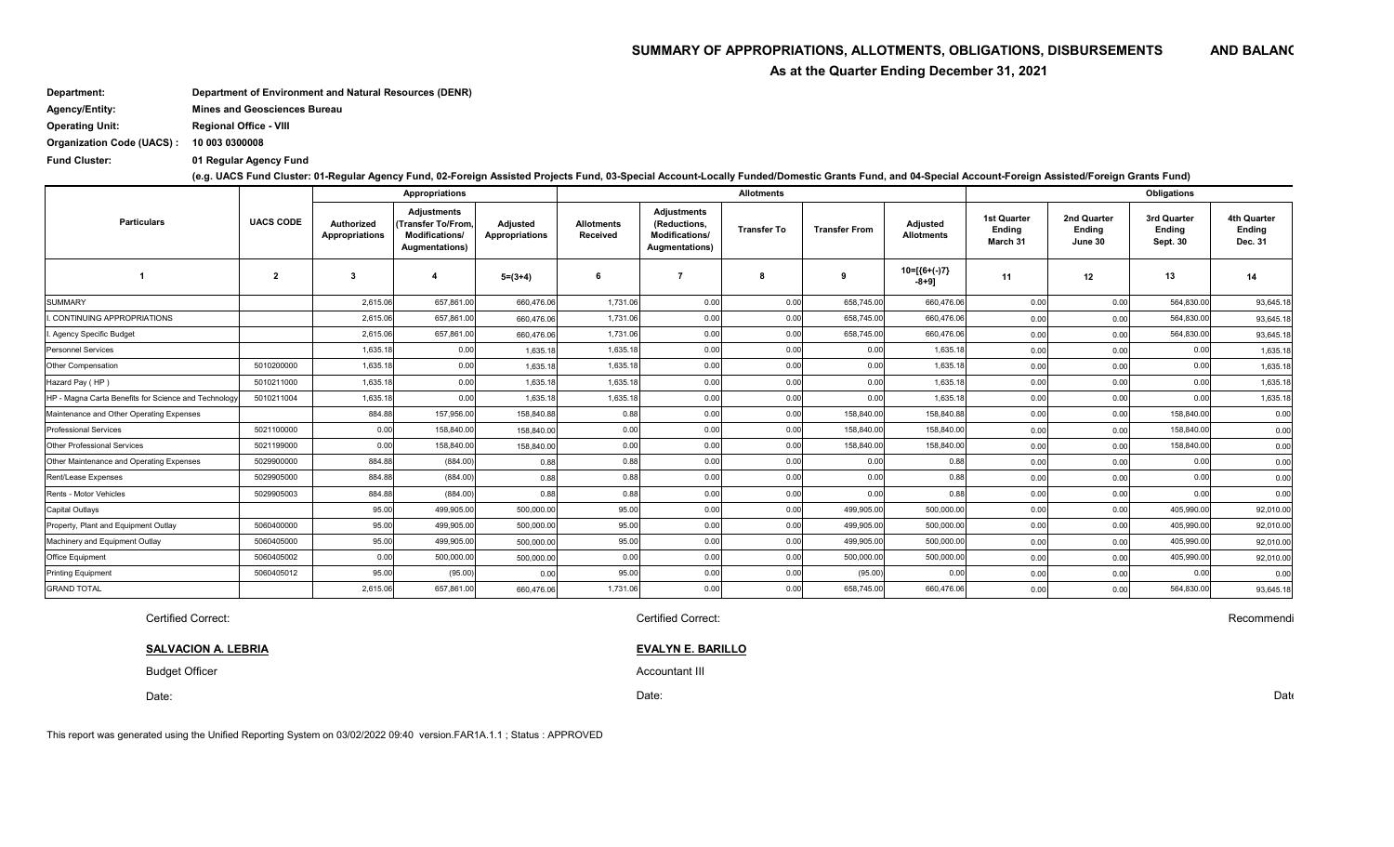Budget Officer **Accountant III** and the set of the set of the set of the set of the set of the set of the set of the set of the set of the set of the set of the set of the set of the set of the set of the set of the set of

# SUMMARY OF APPROPRIATIONS, ALLOTMENTS, OBLIGATIONS, DISBURSEMENTS AND BALANC

 **As at the Quarter Ending December 31, 2021**

**Department: Department of Environment and Natural Resources (DENR) Agency/Entity: Mines and Geosciences Bureau**

**Operating Unit: Regional Office - VIII**

**Organization Code (UACS) : 10 003 0300008**

**Fund Cluster: 01 Regular Agency Fund**

**(e.g. UACS Fund Cluster: 01-Regular Agency Fund, 02-Foreign Assisted Projects Fund, 03-Special Account-Locally Funded/Domestic Grants Fund, and 04-Special Account-Foreign Assisted/Foreign Grants Fund)**

|                                                      | <b>UACS CODE</b>        | <b>Appropriations</b>               |                                                                                      |                                   |                                      |                                                                         | <b>Allotments</b>  |                      | Obligations                   |                                          |                                         |                                          |                                                       |
|------------------------------------------------------|-------------------------|-------------------------------------|--------------------------------------------------------------------------------------|-----------------------------------|--------------------------------------|-------------------------------------------------------------------------|--------------------|----------------------|-------------------------------|------------------------------------------|-----------------------------------------|------------------------------------------|-------------------------------------------------------|
| <b>Particulars</b>                                   |                         | Authorized<br><b>Appropriations</b> | <b>Adjustments</b><br>I(Transfer To/From.<br><b>Modifications/</b><br>Augmentations) | Adjusted<br><b>Appropriations</b> | <b>Allotments</b><br><b>Received</b> | Adjustments<br>(Reductions.<br>Modifications/<br><b>Augmentations</b> ) | <b>Transfer To</b> | <b>Transfer From</b> | Adjusted<br><b>Allotments</b> | <b>1st Quarter</b><br>Ending<br>March 31 | 2nd Quarter<br><b>Endina</b><br>June 30 | 3rd Quarter<br>Ending<br><b>Sept. 30</b> | <b>4th Quarter</b><br><b>Ending</b><br><b>Dec. 31</b> |
|                                                      | $\overline{\mathbf{2}}$ | 3                                   | 4                                                                                    | $5=(3+4)$                         | 6                                    |                                                                         | 8                  | 9                    | $10=[(6+(-7))$<br>$-8+9$ ]    | 11                                       | 12                                      | 13                                       | 14                                                    |
| <b>SUMMARY</b>                                       |                         | 2,615.06                            | 657,861.00                                                                           | 660,476.06                        | 1,731.06                             | 0.00                                                                    | 0.00               | 658,745.00           | 660,476.06                    | 0.00                                     | 0.00                                    | 564,830.00                               | 93,645.18                                             |
| I. CONTINUING APPROPRIATIONS                         |                         | 2,615.06                            | 657.861.00                                                                           | 660,476.06                        | 1,731.06                             | 0.00                                                                    | 0.00               | 658,745.00           | 660,476.06                    | 0.00                                     | 0.00                                    | 564.830.00                               | 93,645.18                                             |
| I. Agency Specific Budget                            |                         | 2,615.06                            | 657,861.00                                                                           | 660,476.06                        | 1,731.06                             | 0.00                                                                    | 0.00               | 658,745.00           | 660,476.06                    | 0.00                                     | 0.00                                    | 564,830.00                               | 93,645.18                                             |
| <b>Personnel Services</b>                            |                         | 1,635.18                            | 0.00                                                                                 | 1,635.18                          | 1,635.18                             | 0.00                                                                    | 0.00               | 0.00                 | 1,635.18                      | 0.00                                     | 0.00                                    | 0.00                                     | 1,635.18                                              |
| Other Compensation                                   | 5010200000              | 1,635.18                            | 0.00                                                                                 | 1,635.18                          | 1,635.18                             | 0.00                                                                    | 0.00               | 0.00                 | 1,635.18                      | 0.00                                     | 0.00                                    | 0.00                                     | 1,635.18                                              |
| Hazard Pay (HP)                                      | 5010211000              | 1,635.18                            | 0.00                                                                                 | 1,635.18                          | 1,635.18                             | 0.00                                                                    | 0.00               | 0.00                 | 1,635.18                      | 0.00                                     | 0.00                                    | 0.00                                     | 1,635.18                                              |
| HP - Magna Carta Benefits for Science and Technology | 5010211004              | 1,635.18                            | 0.00                                                                                 | 1,635.18                          | 1,635.18                             | 0.00                                                                    | 0.00               | 0.00                 | 1,635.18                      | 0.00                                     | 0.00                                    | 0.00                                     | 1,635.18                                              |
| Maintenance and Other Operating Expenses             |                         | 884.88                              | 157,956.00                                                                           | 158,840.88                        | 0.88                                 | 0.00                                                                    | 0.00               | 158,840.00           | 158,840.88                    | 0.00                                     | 0.00                                    | 158,840.00                               | 0.00                                                  |
| <b>Professional Services</b>                         | 5021100000              | 0.00                                | 158,840.00                                                                           | 158,840.00                        | 0.00                                 | 0.00                                                                    | 0.00               | 158,840.00           | 158,840.00                    | 0.00                                     | 0.00                                    | 158,840.00                               | 0.00                                                  |
| <b>Other Professional Services</b>                   | 5021199000              | 0.00                                | 158,840.00                                                                           | 158,840.00                        | 0.00                                 | 0.00                                                                    | 0.00               | 158,840.00           | 158,840.00                    | 0.00                                     | 0.00                                    | 158,840.00                               | 0.00                                                  |
| Other Maintenance and Operating Expenses             | 5029900000              | 884.88                              | (884.00)                                                                             | 0.88                              | 0.88                                 | 0.00                                                                    | 0.00               | 0.00                 | 0.88                          | 0.00                                     | 0.00                                    | 0.00                                     | 0.00                                                  |
| Rent/Lease Expenses                                  | 5029905000              | 884.88                              | (884.00)                                                                             | 0.88                              | 0.88                                 | 0.00                                                                    | 0.00               | 0.00                 | 0.88                          | 0.00                                     | 0.00                                    | 0.00                                     | 0.00                                                  |
| Rents - Motor Vehicles                               | 5029905003              | 884.88                              | (884.00)                                                                             | 0.88                              | 0.88                                 | 0.00                                                                    | 0.00               | 0.00                 | 0.88                          | 0.00                                     | 0.00                                    | 0.00                                     | 0.00                                                  |
| <b>Capital Outlays</b>                               |                         | 95.00                               | 499,905.00                                                                           | 500,000.00                        | 95.00                                | 0.00                                                                    | 0.00               | 499,905.00           | 500,000.00                    | 0.00                                     | 0.00                                    | 405,990.00                               | 92,010.00                                             |
| Property, Plant and Equipment Outlay                 | 5060400000              | 95.00                               | 499,905.00                                                                           | 500,000.0                         | 95.00                                | 0.00                                                                    | 0.00               | 499,905.00           | 500,000.00                    | 0.00                                     | 0.00                                    | 405,990.00                               | 92,010.00                                             |
| Machinery and Equipment Outlay                       | 5060405000              | 95.00                               | 499,905.00                                                                           | 500,000.00                        | 95.00                                | 0.00                                                                    | 0.00               | 499,905.00           | 500,000.00                    | 0.00                                     | 0.00                                    | 405,990.00                               | 92,010.00                                             |
| Office Equipment                                     | 5060405002              | 0.00                                | 500,000.00                                                                           | 500,000.00                        | 0.00                                 | 0.00                                                                    | 0.00               | 500,000.00           | 500,000.00                    | 0.00                                     | 0.00                                    | 405,990.00                               | 92,010.00                                             |
| <b>Printing Equipment</b>                            | 5060405012              | 95.00                               | (95.00)                                                                              | 0.00                              | 95.00                                | 0.00                                                                    | 0.00               | (95.00)              | 0.00                          | 0.00                                     | 0.00                                    | 0.00                                     | 0.00                                                  |
| <b>GRAND TOTAL</b>                                   |                         | 2,615.06                            | 657,861.00                                                                           | 660,476.06                        | 1,731.06                             | 0.00                                                                    | 0.00               | 658,745.00           | 660,476.06                    | 0.00                                     | 0.00                                    | 564,830.00                               | 93,645.18                                             |

Certified Correct: Certified Correct:

Recommendi

This report was generated using the Unified Reporting System on 03/02/2022 09:40 version.FAR1A.1.1 ; Status : APPROVED

Date: Date

**SALVACION A. LEBRIA EVALYN E. BARILLO**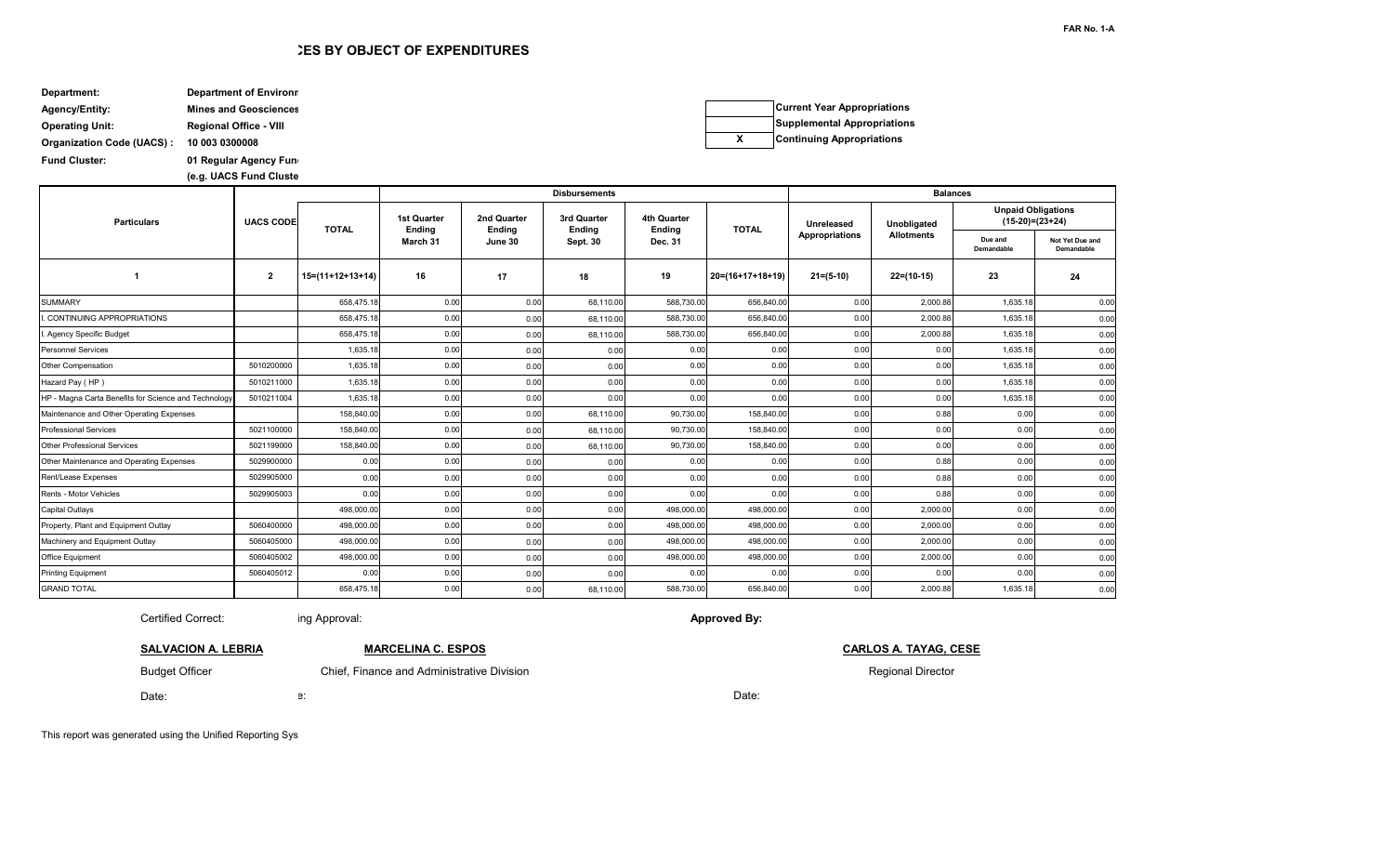e: Date: Date: Date: Date: Date: Date: Date: Date: Date: Date: Date: Date: Date: Date: Date: Date: Date: Date:

This report was generated using the Unified Reporting Sys

## **ES BY OBJECT OF EXPENDITURES**

| Department:                      | <b>Department of Environn</b> |
|----------------------------------|-------------------------------|
| <b>Agency/Entity:</b>            | <b>Mines and Geosciences</b>  |
| <b>Operating Unit:</b>           | <b>Regional Office - VIII</b> |
| <b>Organization Code (UACS):</b> | 10 003 0300008                |
| <b>Fund Cluster:</b>             | 01 Regular Agency Fund        |

**(e.g. UACS Fund Cluste** 

Certified Correct:

Budget Officer

**SALVACION A. LEBRIA**

**Current Year Appropriations Supplemental Appropriations X Continuing Appropriations**

|                                                      |                         |                    |                              |                              | <b>Disbursements</b>  |                       | <b>Balances</b>    |                       |                   |                                                |                               |
|------------------------------------------------------|-------------------------|--------------------|------------------------------|------------------------------|-----------------------|-----------------------|--------------------|-----------------------|-------------------|------------------------------------------------|-------------------------------|
| <b>Particulars</b>                                   | <b>UACS CODE</b>        | <b>TOTAL</b>       | <b>1st Quarter</b><br>Ending | 2nd Quarter<br><b>Ending</b> | 3rd Quarter<br>Ending | 4th Quarter<br>Ending | <b>TOTAL</b>       | Unreleased            | Unobligated       | <b>Unpaid Obligations</b><br>$(15-20)=(23+24)$ |                               |
|                                                      |                         |                    | March 31                     | June 30                      | Sept. 30              | Dec. 31               |                    | <b>Appropriations</b> | <b>Allotments</b> | Due and<br>Demandable                          | Not Yet Due and<br>Demandable |
|                                                      | $\overline{\mathbf{2}}$ | $15=(11+12+13+14)$ | 16                           | 17                           | 18                    | 19                    | $20=(16+17+18+19)$ | $21=(5-10)$           | $22=(10-15)$      | 23                                             | 24                            |
| <b>SUMMARY</b>                                       |                         | 658,475.18         | 0.00                         | 0.00                         | 68,110.00             | 588,730.00            | 656,840.00         | 0.00                  | 2,000.88          | 1,635.18                                       | 0.00                          |
| . CONTINUING APPROPRIATIONS                          |                         | 658,475.18         | 0.00                         | 0.00                         | 68,110.00             | 588,730.00            | 656,840.00         | 0.00                  | 2,000.88          | 1,635.18                                       | 0.00                          |
| I. Agency Specific Budget                            |                         | 658,475.18         | 0.00                         | 0.00                         | 68,110.00             | 588,730.00            | 656,840.00         | 0.00                  | 2,000.88          | 1,635.18                                       | 0.00                          |
| <b>Personnel Services</b>                            |                         | 1.635.18           | 0.00                         | 0.00                         | 0.00                  | 0.00                  | 0.00               | 0.00                  | 0.00              | 1,635.18                                       | 0.00                          |
| Other Compensation                                   | 5010200000              | 1,635.18           | 0.00                         | 0.00                         | 0.00                  | 0.00                  | 0.00               | 0.00                  | 0.00              | 1,635.18                                       | 0.00                          |
| Hazard Pay (HP)                                      | 5010211000              | 1,635.18           | 0.00                         | 0.00                         | 0.00                  | 0.00                  | 0.00               | 0.00                  | 0.00              | 1,635.18                                       | 0.00                          |
| HP - Magna Carta Benefits for Science and Technology | 5010211004              | 1,635.18           | 0.00                         | 0.00                         | 0.00                  | 0.00                  | 0.00               | 0.00                  | 0.00              | 1,635.18                                       | 0.00                          |
| Maintenance and Other Operating Expenses             |                         | 158,840.00         | 0.00                         | 0.00                         | 68,110.00             | 90,730.00             | 158,840.00         | 0.00                  | 0.88              | 0.00                                           | 0.00                          |
| <b>Professional Services</b>                         | 5021100000              | 158,840.00         | 0.00                         | 0.00                         | 68,110.00             | 90,730.00             | 158,840.00         | 0.00                  | 0.00              | 0.00                                           | 0.00                          |
| <b>Other Professional Services</b>                   | 5021199000              | 158,840.00         | 0.00                         | 0.00                         | 68,110.00             | 90,730.00             | 158,840.00         | 0.00                  | 0.00              | 0.00                                           | 0.00                          |
| Other Maintenance and Operating Expenses             | 5029900000              | 0.00               | 0.00                         | 0.00                         | 0.00                  | 0.00                  | 0.00               | 0.00                  | 0.88              | 0.00                                           | 0.00                          |
| <b>Rent/Lease Expenses</b>                           | 5029905000              | 0.00               | 0.00                         | 0.00                         | 0.00                  | 0.00                  | 0.00               | 0.00                  | 0.88              | 0.00                                           | 0.00                          |
| Rents - Motor Vehicles                               | 5029905003              | 0.00               | 0.00                         | 0.00                         | 0.00                  | 0.00                  | 0.00               | 0.00                  | 0.88              | 0.00                                           | 0.00                          |
| Capital Outlays                                      |                         | 498,000.00         | 0.00                         | 0.00                         | 0.00                  | 498,000.00            | 498,000.00         | 0.00                  | 2,000.00          | 0.00                                           | 0.00                          |
| Property, Plant and Equipment Outlay                 | 5060400000              | 498,000.0          | 0.00                         | 0.00                         | 0.00                  | 498,000.00            | 498,000.00         | 0.00                  | 2,000.00          | 0.00                                           | 0.00                          |
| Machinery and Equipment Outlay                       | 5060405000              | 498,000.00         | 0.00                         | 0.00                         | 0.00                  | 498,000.00            | 498,000.00         | 0.00                  | 2,000.00          | 0.00                                           | 0.00                          |
| <b>Office Equipment</b>                              | 5060405002              | 498,000.00         | 0.00                         | 0.00                         | 0.00                  | 498,000.00            | 498,000.00         | 0.00                  | 2,000.00          | 0.00                                           | 0.00                          |
| <b>Printing Equipment</b>                            | 5060405012              | 0.00               | 0.00                         | 0.00                         | 0.00                  | 0.00                  | 0.00               | 0.00                  | 0.00              | 0.00                                           | 0.00                          |
| <b>GRAND TOTAL</b>                                   |                         | 658,475.18         | 0.00                         | 0.00                         | 68,110.00             | 588,730.00            | 656,840.00         | 0.00                  | 2,000.88          | 1,635.18                                       | 0.00                          |

**Approved By:**

ing Approval:

## **MARCELINA C. ESPOS**

Chief, Finance and Administrative Division

**CARLOS A. TAYAG, CESE**

Regional Director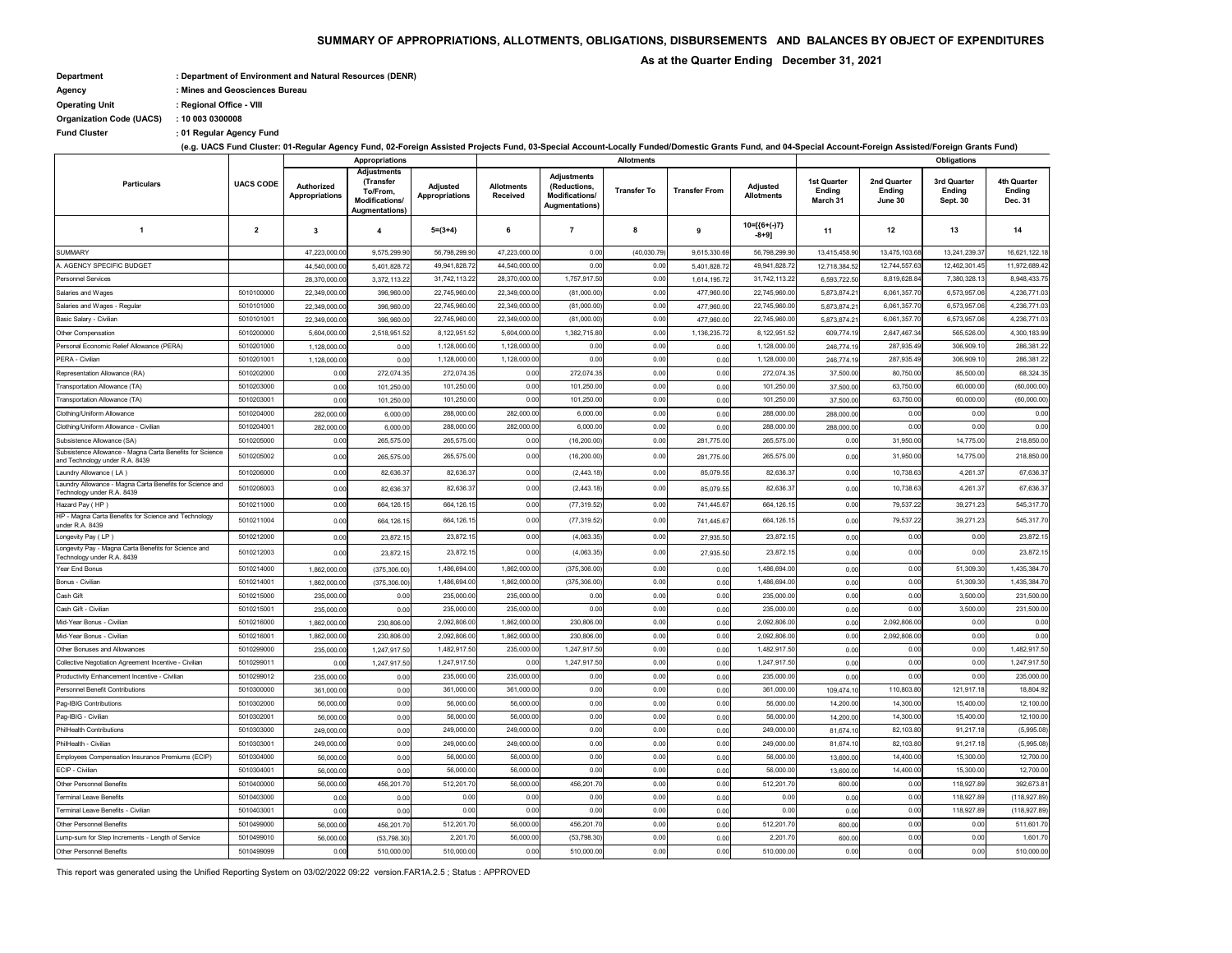**: Fund Cluster 01 Regular Agency Fund**

## **SUMMARY OF APPROPRIATIONS, ALLOTMENTS, OBLIGATIONS, DISBURSEMENTS AND BALANCES BY OBJECT OF EXPENDITURES**

 **As at the Quarter Ending December 31, 2021**

- **Department : Department of Environment and Natural Resources (DENR)**
- **Agency : Mines and Geosciences Bureau**

**Operating Unit : Regional Office - VIII**

**(e.g. UACS Fund Cluster: 01-Regular Agency Fund, 02-Foreign Assisted Projects Fund, 03-Special Account-Locally Funded/Domestic Grants Fund, and 04-Special Account-Foreign Assisted/Foreign Grants Fund)**

**Organization Code (UACS) : 10 003 0300008**

|                                                                                            |                          | Appropriations                      |                                                                                 |                              |                                      |                                                                                | <b>Allotments</b>  |                      |                                      | <b>Obligations</b>                       |                                  |                                   |                                                |
|--------------------------------------------------------------------------------------------|--------------------------|-------------------------------------|---------------------------------------------------------------------------------|------------------------------|--------------------------------------|--------------------------------------------------------------------------------|--------------------|----------------------|--------------------------------------|------------------------------------------|----------------------------------|-----------------------------------|------------------------------------------------|
| <b>Particulars</b>                                                                         | <b>UACS CODE</b>         | Authorized<br><b>Appropriations</b> | <b>Adjustments</b><br>(Transfer<br>To/From,<br>Modifications/<br>Augmentations) | Adjusted<br>Appropriations   | <b>Allotments</b><br><b>Received</b> | <b>Adjustments</b><br>(Reductions,<br>Modifications/<br><b>Augmentations</b> ) | <b>Transfer To</b> | <b>Transfer From</b> | <b>Adjusted</b><br><b>Allotments</b> | <b>1st Quarter</b><br>Ending<br>March 31 | 2nd Quarter<br>Ending<br>June 30 | 3rd Quarter<br>Ending<br>Sept. 30 | 4th Quarter<br><b>Ending</b><br><b>Dec. 31</b> |
| -1                                                                                         | $\overline{2}$           | $\mathbf{3}$                        | 4                                                                               | $5=(3+4)$                    | 6                                    | 7                                                                              | 8                  | 9                    | $10=[(6+(-)7)$<br>-8+9]              | 11                                       | 12                               | 13                                | 14                                             |
| <b>SUMMARY</b>                                                                             |                          | 47,223,000.00                       | 9,575,299.90                                                                    | 56,798,299.90                | 47,223,000.00                        | 0.00                                                                           | (40,030.79)        | 9,615,330.69         | 56,798,299.90                        | 13,415,458.90                            | 13,475,103.68                    | 13,241,239.37                     | 16,621,122.18                                  |
| A. AGENCY SPECIFIC BUDGET                                                                  |                          | 44,540,000.00                       | 5,401,828.72                                                                    | 49,941,828.72                | 44,540,000.00                        | 0.00                                                                           | 0.00               | 5,401,828.72         | 49,941,828.72                        | 12,718,384.52                            | 12,744,557.63                    | 12,462,301.45                     | 11,972,689.42                                  |
| <b>Personnel Services</b>                                                                  |                          | 28,370,000.00                       | 3,372,113.22                                                                    | 31,742,113.22                | 28,370,000.00                        | 1,757,917.50                                                                   | 0.00               | 1,614,195.72         | 31,742,113.22                        | 6,593,722.50                             | 8,819,628.84                     | 7,380,328.13                      | 8,948,433.75                                   |
| Salaries and Wages                                                                         | 5010100000               | 22,349,000.00                       | 396,960.00                                                                      | 22,745,960.00                | 22,349,000.00                        | (81,000.00)                                                                    | 0.00               | 477,960.00           | 22,745,960.00                        | 5,873,874.21                             | 6,061,357.70                     | 6,573,957.06                      | 4,236,771.03                                   |
| Salaries and Wages - Regular                                                               | 5010101000               | 22,349,000.00                       | 396,960.00                                                                      | 22,745,960.00                | 22,349,000.00                        | (81,000.00)                                                                    | 0.00               | 477,960.00           | 22,745,960.00                        | 5,873,874.21                             | 6,061,357.70                     | 6,573,957.06                      | 4,236,771.03                                   |
| Basic Salary - Civilian                                                                    | 5010101001               | 22,349,000.00                       | 396,960.00                                                                      | 22,745,960.00                | 22,349,000.00                        | (81,000.00)                                                                    | 0.00               | 477,960.00           | 22,745,960.00                        | 5,873,874.21                             | 6,061,357.70                     | 6,573,957.06                      | 4,236,771.03                                   |
| Other Compensation                                                                         | 5010200000               | 5,604,000.00                        | 2,518,951.52                                                                    | 8,122,951.52                 | 5,604,000.00                         | 1,382,715.80                                                                   | 0.00               | 1,136,235.72         | 8,122,951.52                         | 609,774.19                               | 2,647,467.34                     | 565,526.00                        | 4,300,183.99                                   |
| Personal Economic Relief Allowance (PERA)                                                  | 5010201000               | 1,128,000.00                        | 0.00                                                                            | 1,128,000.00                 | 1,128,000.00                         | 0.00                                                                           | 0.00               | 0.00                 | 1,128,000.00                         | 246,774.19                               | 287,935.49                       | 306,909.10                        | 286,381.22                                     |
| PERA - Civilian                                                                            | 5010201001               | 1,128,000.00                        | 0.00                                                                            | 1,128,000.00                 | 1,128,000.00                         | 0.00                                                                           | 0.00               | 0.00                 | 1,128,000.00                         | 246,774.19                               | 287,935.49                       | 306,909.10                        | 286,381.22                                     |
| Representation Allowance (RA)                                                              | 5010202000               | 0.00                                | 272,074.35                                                                      | 272,074.35                   | 0.00                                 | 272,074.35                                                                     | 0.00               | 0.00                 | 272,074.35                           | 37,500.00                                | 80,750.00                        | 85,500.00                         | 68,324.35                                      |
| Transportation Allowance (TA)                                                              | 5010203000               | 0.00                                | 101,250.00                                                                      | 101,250.00                   | 0.00                                 | 101,250.0                                                                      | 0.00               | 0.00                 | 101,250.00                           | 37,500.00                                | 63,750.00                        | 60,000.00                         | (60,000.00)                                    |
| Transportation Allowance (TA)                                                              | 5010203001               | 0.00                                | 101,250.00                                                                      | 101,250.00                   | 0.00                                 | 101,250.0                                                                      | 0.00               | 0.00                 | 101,250.00                           | 37,500.00                                | 63,750.00                        | 60,000.00                         | (60,000.00)                                    |
| Clothing/Uniform Allowance                                                                 | 5010204000               | 282,000.00                          | 6,000.00                                                                        | 288,000.00                   | 282,000.00                           | 6,000.00                                                                       | 0.00               | 0.00                 | 288,000.00                           | 288,000.0                                | 0.00                             | 0.00                              | 0.00                                           |
| Clothing/Uniform Allowance - Civilian                                                      | 5010204001               | 282,000.00                          | 6,000.00                                                                        | 288,000.00                   | 282,000.00                           | 6,000.00                                                                       | 0.00               | 0.00                 | 288,000.00                           | 288,000.0                                | 0.00                             | 0.00                              | 0.00                                           |
| Subsistence Allowance (SA)                                                                 | 5010205000               | 0.00                                | 265,575.00                                                                      | 265,575.00                   | 0.00                                 | (16, 200.00)                                                                   | 0.00               | 281,775.00           | 265,575.00                           | 0.00                                     | 31,950.00                        | 14,775.00                         | 218,850.00                                     |
| Subsistence Allowance - Magna Carta Benefits for Science<br>and Technology under R.A. 8439 | 5010205002               | 0.00                                | 265,575.00                                                                      | 265,575.00                   | 0.00                                 | (16, 200.00)                                                                   | 0.00               | 281,775.00           | 265,575.00                           | 0.00                                     | 31,950.00                        | 14,775.00                         | 218,850.00                                     |
| Laundry Allowance (LA)                                                                     | 5010206000               | 0.00                                | 82,636.37                                                                       | 82,636.37                    | 0.00                                 | (2, 443.18)                                                                    | 0.00               | 85,079.55            | 82,636.37                            | 0.00                                     | 10,738.63                        | 4,261.37                          | 67,636.37                                      |
| Laundry Allowance - Magna Carta Benefits for Science and<br>Technology under R.A. 8439     | 5010206003               | 0.00                                | 82,636.37                                                                       | 82,636.37                    | 0.00                                 | (2, 443.18)                                                                    | 0.00               | 85,079.55            | 82,636.37                            | 0.00                                     | 10,738.63                        | 4,261.37                          | 67,636.37                                      |
| Hazard Pay (HP)                                                                            | 5010211000               | 0.00                                | 664,126.15                                                                      | 664,126.15                   | 0.00                                 | (77, 319.52)                                                                   | 0.00               | 741,445.67           | 664,126.15                           | 0.00                                     | 79,537.22                        | 39,271.23                         | 545,317.70                                     |
| HP - Magna Carta Benefits for Science and Technology<br>under R.A. 8439                    | 5010211004               | 0.00                                | 664,126.15                                                                      | 664,126.15                   | 0.00                                 | (77, 319.52)                                                                   | 0.00               | 741,445.67           | 664,126.15                           | 0.00                                     | 79,537.22                        | 39,271.23                         | 545,317.70                                     |
| Longevity Pay (LP)                                                                         | 5010212000               | 0.00                                | 23,872.15                                                                       | 23,872.15                    | 0.00                                 | (4,063.35)                                                                     | 0.00               | 27,935.50            | 23,872.15                            | 0.00                                     | 0.00                             | 0.00                              | 23,872.15                                      |
| Longevity Pay - Magna Carta Benefits for Science and<br>Technology under R.A. 8439         | 5010212003               | 0.00                                | 23,872.15                                                                       | 23,872.15                    | 0.00                                 | (4,063.35)                                                                     | 0.00               | 27,935.50            | 23,872.15                            | 0.00                                     | 0.00                             | 0.00                              | 23,872.15                                      |
| Year End Bonus                                                                             | 5010214000               | 1,862,000.00                        | (375, 306.00)                                                                   | 1,486,694.00                 | 1,862,000.00                         | (375, 306.00)                                                                  | 0.00               | 0.00                 | 1,486,694.00                         | 0.00                                     | 0.00                             | 51,309.30                         | 1,435,384.70                                   |
| Bonus - Civilian                                                                           | 5010214001               | 1,862,000.00                        | (375, 306.00)                                                                   | 1,486,694.00                 | 1,862,000.00                         | (375, 306.00)                                                                  | 0.00               | 0.00                 | 1,486,694.00                         | 0.00                                     | 0.00                             | 51,309.30                         | 1,435,384.70                                   |
| Cash Gift                                                                                  | 5010215000               | 235,000.00                          | 0.00                                                                            | 235,000.00                   | 235,000.00                           | 0.00                                                                           | 0.00               | 0.00                 | 235,000.00                           | 0.00                                     | 0.00                             | 3,500.00                          | 231,500.00                                     |
| Cash Gift - Civilian                                                                       | 5010215001               | 235,000.00                          | 0.00                                                                            | 235,000.00                   | 235,000.00                           | 0.00                                                                           | 0.00               | 0.00                 | 235,000.00                           | 0.00                                     | 0.00                             | 3,500.00                          | 231,500.00                                     |
| Mid-Year Bonus - Civilian                                                                  | 5010216000               | 1,862,000.00                        | 230,806.00                                                                      | 2,092,806.00                 | 1,862,000.00                         | 230,806.0                                                                      | 0.00               | 0.00                 | 2,092,806.00                         | 0.00                                     | 2,092,806.00                     | 0.00                              | 0.00                                           |
| Mid-Year Bonus - Civilian<br>Other Bonuses and Allowances                                  | 5010216001<br>5010299000 | 1,862,000.00<br>235,000.00          | 230,806.00<br>1,247,917.50                                                      | 2,092,806.00<br>1,482,917.50 | 1,862,000.00<br>235,000.00           | 230,806.0<br>1,247,917.50                                                      | 0.00<br>0.00       | 0.00<br>0.00         | 2,092,806.00<br>1,482,917.50         | 0.00<br>0.00                             | 2,092,806.00<br>0.00             | 0.00<br>0.00                      | 0.00<br>1,482,917.50                           |
| Collective Negotiation Agreement Incentive - Civilian                                      | 5010299011               | 0.00                                | 1,247,917.50                                                                    | 1,247,917.50                 | 0.00                                 | 1,247,917.50                                                                   | 0.00               | 0.00                 | 1,247,917.50                         | 0.00                                     | 0.00                             | 0.00                              | 1,247,917.50                                   |
| Productivity Enhancement Incentive - Civilian                                              | 5010299012               | 235,000.00                          | 0.00                                                                            | 235,000.00                   | 235,000.00                           | 0.00                                                                           | 0.00               | 0.00                 | 235,000.00                           | 0.00                                     | 0.00                             | 0.00                              | 235,000.00                                     |
| Personnel Benefit Contributions                                                            | 5010300000               | 361,000.00                          | 0.00                                                                            | 361,000.00                   | 361,000.00                           | 0.00                                                                           | 0.00               | 0.00                 | 361,000.00                           | 109,474.10                               | 110,803.80                       | 121,917.18                        | 18,804.92                                      |
| Pag-IBIG Contributions                                                                     | 5010302000               | 56,000.00                           | 0.00                                                                            | 56,000.00                    | 56,000.00                            | 0.00                                                                           | 0.00               | 0.00                 | 56,000.00                            | 14,200.00                                | 14,300.00                        | 15,400.00                         | 12,100.00                                      |
| Pag-IBIG - Civilian                                                                        | 5010302001               | 56,000.00                           | 0.00                                                                            | 56,000.00                    | 56,000.00                            | 0.00                                                                           | 0.00               | 0.00                 | 56,000.00                            | 14,200.00                                | 14,300.00                        | 15,400.00                         | 12,100.00                                      |
| <b>PhilHealth Contributions</b>                                                            | 5010303000               | 249,000.00                          | 0.00                                                                            | 249,000.00                   | 249,000.00                           | 0.00                                                                           | 0.00               | 0.00                 | 249,000.00                           | 81,674.10                                | 82,103.80                        | 91,217.18                         | (5,995.08)                                     |
| PhilHealth - Civilian                                                                      | 5010303001               | 249,000.00                          | 0.00                                                                            | 249,000.00                   | 249,000.00                           | 0.00                                                                           | 0.00               | 0.00                 | 249,000.00                           | 81,674.10                                | 82,103.80                        | 91,217.18                         | (5,995.08)                                     |
| Employees Compensation Insurance Premiums (ECIP)                                           | 5010304000               | 56,000.00                           | 0.00                                                                            | 56,000.00                    | 56,000.00                            | 0.00                                                                           | 0.00               | 0.00                 | 56,000.00                            | 13,600.00                                | 14,400.00                        | 15,300.00                         | 12,700.00                                      |
| ECIP - Civilian                                                                            | 5010304001               | 56,000.00                           | 0.00                                                                            | 56,000.00                    | 56,000.00                            | 0.00                                                                           | 0.00               | 0.00                 | 56,000.00                            | 13,600.00                                | 14,400.00                        | 15,300.00                         | 12,700.00                                      |
| <b>Other Personnel Benefits</b>                                                            | 5010400000               | 56,000.00                           | 456,201.70                                                                      | 512,201.70                   | 56,000.00                            | 456,201.70                                                                     | 0.00               | 0.00                 | 512,201.70                           | 600.00                                   | 0.00                             | 118,927.89                        | 392,673.81                                     |
| <b>Terminal Leave Benefits</b>                                                             | 5010403000               | 0.00                                | 0.00                                                                            | 0.00                         | 0.00                                 | 0.00                                                                           | 0.00               | 0.00                 | 0.00                                 | 0.00                                     | 0.00                             | 118,927.89                        | (118, 927.89)                                  |
| Terminal Leave Benefits - Civilian                                                         | 5010403001               | 0.00                                | 0.00                                                                            | 0.00                         | 0.00                                 | 0.00                                                                           | 0.00               | 0.00                 | 0.00                                 | 0.00                                     | 0.00                             | 118,927.89                        | (118, 927.89)                                  |
| Other Personnel Benefits                                                                   | 5010499000               | 56,000.00                           | 456,201.70                                                                      | 512,201.70                   | 56,000.00                            | 456,201.7                                                                      | 0.00               | 0.00                 | 512,201.70                           | 600.00                                   | 0.00                             | 0.00                              | 511,601.70                                     |
| Lump-sum for Step Increments - Length of Service                                           | 5010499010               | 56,000.00                           | (53, 798.30)                                                                    | 2,201.70                     | 56,000.00                            | (53,798.30)                                                                    | 0.00               | 0.00                 | 2,201.70                             | 600.00                                   | 0.00                             | 0.00                              | 1,601.70                                       |
| Other Personnel Benefits                                                                   | 5010499099               | 0.00                                | 510,000.00                                                                      | 510,000.00                   | 0.00                                 | 510,000.00                                                                     | 0.00               | 0.00                 | 510,000.00                           | 0.00                                     | 0.00                             | 0.00                              | 510,000.00                                     |
|                                                                                            |                          |                                     |                                                                                 |                              |                                      |                                                                                |                    |                      |                                      |                                          |                                  |                                   |                                                |

This report was generated using the Unified Reporting System on 03/02/2022 09:22 version.FAR1A.2.5 ; Status : APPROVED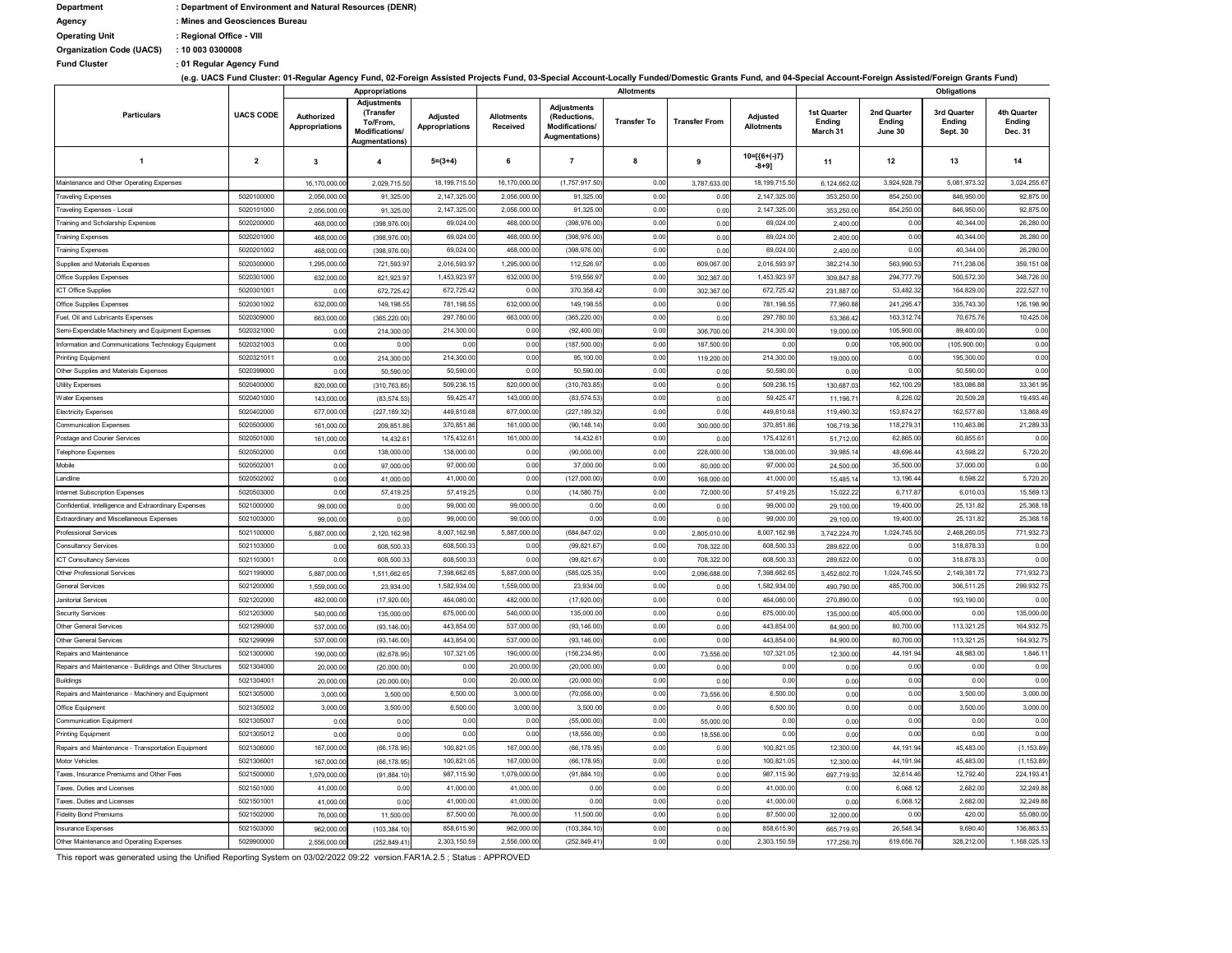**: Fund Cluster 01 Regular Agency Fund**

**(e.g. UACS Fund Cluster: 01-Regular Agency Fund, 02-Foreign Assisted Projects Fund, 03-Special Account-Locally Funded/Domestic Grants Fund, and 04-Special Account-Foreign Assisted/Foreign Grants Fund)**

| <b>Department</b>               | : Department of Environment and Natural Resources (DENR) |
|---------------------------------|----------------------------------------------------------|
| Agency                          | : Mines and Geosciences Bureau                           |
| <b>Operating Unit</b>           | : Regional Office - VIII                                 |
| <b>Organization Code (UACS)</b> | : 100030300008                                           |
|                                 |                                                          |

|                                                                                     |                          | <b>Appropriations</b>               |                                                                                        |                                          | <b>Allotments</b>             |                                                                        |                    |                      |                                      | <b>Obligations</b>                       |                                         |                                   |                                                |
|-------------------------------------------------------------------------------------|--------------------------|-------------------------------------|----------------------------------------------------------------------------------------|------------------------------------------|-------------------------------|------------------------------------------------------------------------|--------------------|----------------------|--------------------------------------|------------------------------------------|-----------------------------------------|-----------------------------------|------------------------------------------------|
| <b>Particulars</b>                                                                  | <b>UACS CODE</b>         | Authorized<br><b>Appropriations</b> | <b>Adjustments</b><br>(Transfer<br>To/From,<br>Modifications/<br><b>Augmentations)</b> | <b>Adjusted</b><br><b>Appropriations</b> | <b>Allotments</b><br>Received | <b>Adjustments</b><br>(Reductions,<br>Modifications/<br>Augmentations) | <b>Transfer To</b> | <b>Transfer From</b> | <b>Adjusted</b><br><b>Allotments</b> | <b>1st Quarter</b><br>Ending<br>March 31 | 2nd Quarter<br><b>Ending</b><br>June 30 | 3rd Quarter<br>Ending<br>Sept. 30 | 4th Quarter<br><b>Ending</b><br><b>Dec. 31</b> |
| -1                                                                                  | $\overline{2}$           | $\mathbf{3}$                        | 4                                                                                      | $5=(3+4)$                                | 6                             | -7                                                                     | -8                 | 9                    | $10=[(6+(-7))$<br>$-8+9$ ]           | 11                                       | 12                                      | 13                                | 14                                             |
| Maintenance and Other Operating Expenses                                            |                          | 16,170,000.00                       | 2,029,715.50                                                                           | 18,199,715.50                            | 16,170,000.00                 | (1,757,917.50)                                                         | 0.00               | 3,787,633.0          | 18,199,715.50                        | 6,124,662.0                              | 3,924,928.79                            | 5,081,973.32                      | 3,024,255.67                                   |
| <b>Traveling Expenses</b>                                                           | 5020100000               | 2,056,000.00                        | 91,325.00                                                                              | 2, 147, 325.00                           | 2,056,000.00                  | 91,325.00                                                              | 0.00               | 0.00                 | 2,147,325.00                         | 353,250.00                               | 854,250.00                              | 846,950.00                        | 92,875.00                                      |
| Traveling Expenses - Local                                                          | 5020101000               | 2,056,000.00                        | 91,325.00                                                                              | 2, 147, 325.00                           | 2,056,000.00                  | 91,325.00                                                              | 0.00               | 0.00                 | 2,147,325.00                         | 353,250.00                               | 854,250.00                              | 846,950.00                        | 92,875.00                                      |
| Training and Scholarship Expenses                                                   | 5020200000               | 468,000.00                          | (398, 976.00)                                                                          | 69,024.00                                | 468,000.00                    | (398, 976.00)                                                          | 0.00               | 0.00                 | 69,024.00                            | 2,400.00                                 | 0.00                                    | 40,344.00                         | 26,280.00                                      |
| <b>Training Expenses</b>                                                            | 5020201000               | 468,000.00                          | (398, 976.00)                                                                          | 69,024.00                                | 468,000.00                    | (398, 976.00)                                                          | 0.00               | 0.00                 | 69,024.00                            | 2,400.00                                 | 0.00                                    | 40,344.00                         | 26,280.00                                      |
| <b>Training Expenses</b>                                                            | 5020201002               | 468,000.00                          | (398, 976.00)                                                                          | 69,024.00                                | 468,000.00                    | (398, 976.00)                                                          | 0.00               | 0.00                 | 69,024.00                            | 2,400.00                                 | 0.00                                    | 40,344.00                         | 26,280.00                                      |
| Supplies and Materials Expenses                                                     | 5020300000               | 1,295,000.00                        | 721,593.9                                                                              | 2,016,593.97                             | 1,295,000.00                  | 112,526.9                                                              | 0.00               | 609,067.0            | 2,016,593.97                         | 382,214.30                               | 563,990.53                              | 711,238.06                        | 359,151.08                                     |
| <b>Office Supplies Expenses</b>                                                     | 5020301000               | 632,000.00                          | 821,923.97                                                                             | 1,453,923.97                             | 632,000.00                    | 519,556.97                                                             | 0.00               | 302,367.00           | 1,453,923.97                         | 309,847.88                               | 294,777.79                              | 500,572.30                        | 348,726.00                                     |
| <b>ICT Office Supplies</b>                                                          | 5020301001               | 0.00                                | 672,725.42                                                                             | 672,725.42                               | 0.00                          | 370,358.42                                                             | 0.00               | 302,367.00           | 672,725.42                           | 231,887.00                               | 53,482.32                               | 164,829.00                        | 222,527.10                                     |
| <b>Office Supplies Expenses</b>                                                     | 5020301002               | 632,000.00                          | 149,198.55                                                                             | 781,198.55                               | 632,000.00                    | 149,198.55                                                             | 0.00               | 0.00                 | 781,198.55                           | 77,960.88                                | 241,295.47                              | 335,743.30                        | 126,198.90                                     |
| Fuel, Oil and Lubricants Expenses                                                   | 5020309000               | 663,000.00                          | (365,220.00                                                                            | 297,780.00                               | 663,000.00                    | (365, 220.00)                                                          | 0.00               | 0.00                 | 297,780.00                           | 53,366.42                                | 163,312.74                              | 70,675.76                         | 10,425.08                                      |
| Semi-Expendable Machinery and Equipment Expenses                                    | 5020321000               | 0.00                                | 214,300.00                                                                             | 214,300.00                               | 0.00                          | (92, 400.00)                                                           | 0.00               | 306,700.00           | 214,300.00                           | 19,000.00                                | 105,900.00                              | 89,400.00                         | 0.00                                           |
| Information and Communications Technology Equipment                                 | 5020321003               | 0.00                                | 0.00                                                                                   | 0.00                                     | 0.00                          | (187,500.00)                                                           | 0.00               | 187,500.00           | 0.00                                 | 0.00                                     | 105,900.00                              | (105,900.00)                      | 0.00                                           |
| <b>Printing Equipment</b>                                                           | 5020321011               | 0.00                                | 214,300.00                                                                             | 214,300.00                               | 0.00                          | 95,100.00                                                              | 0.00               | 119,200.00           | 214,300.00                           | 19,000.00                                | 0.00                                    | 195,300.00                        | 0.00                                           |
| Other Supplies and Materials Expenses                                               | 5020399000               | 0.00                                | 50,590.00                                                                              | 50,590.00                                | 0.00                          | 50,590.00                                                              | 0.00               | 0.00                 | 50,590.00                            | 0.00                                     | 0.00                                    | 50,590.00                         | 0.00                                           |
| <b>Utility Expenses</b>                                                             | 5020400000               | 820,000.00                          | (310,763.85                                                                            | 509,236.15                               | 820,000.00                    | (310, 763.85)                                                          | 0.00               | 0.00                 | 509,236.15                           | 130,687.0                                | 162,100.29                              | 183,086.88                        | 33,361.95                                      |
| <b>Water Expenses</b>                                                               | 5020401000               | 143,000.00                          | (83, 574.53)                                                                           | 59,425.47                                | 143,000.00                    | (83, 574.53)                                                           | 0.00               | 0.00                 | 59,425.47                            | 11,196.7                                 | 8,226.02                                | 20,509.28                         | 19,493.46                                      |
| <b>Electricity Expenses</b>                                                         | 5020402000               | 677,000.00                          | (227, 189.32                                                                           | 449,810.68                               | 677,000.00                    | (227, 189.32)                                                          | 0.00               | 0.00                 | 449,810.68                           | 119,490.32                               | 153,874.27                              | 162,577.60                        | 13,868.49                                      |
| <b>Communication Expenses</b>                                                       | 5020500000               | 161,000.00                          | 209,851.86                                                                             | 370,851.86                               | 161,000.00                    | (90, 148.14)                                                           | 0.00               | 300,000.00           | 370,851.86                           | 106,719.36                               | 118,279.31                              | 110,463.86                        | 21,289.33                                      |
| Postage and Courier Services                                                        | 5020501000               | 161,000.00                          | 14,432.6                                                                               | 175,432.61                               | 161,000.00                    | 14,432.6                                                               | 0.00               | 0.00                 | 175,432.61                           | 51,712.00                                | 62,865.00                               | 60,855.61                         | 0.00                                           |
| Telephone Expenses                                                                  | 5020502000               | 0.00                                | 138,000.0                                                                              | 138,000.00                               | 0.00                          | (90,000.00)                                                            | 0.00               | 228,000.0            | 138,000.00                           | 39,985.1                                 | 48,696.44                               | 43,598.22                         | 5,720.20                                       |
| Mobile                                                                              | 5020502001               | 0.00                                | 97,000.00                                                                              | 97,000.00                                | 0.00                          | 37,000.00                                                              | 0.00               | 60,000.00            | 97,000.00                            | 24,500.00                                | 35,500.00                               | 37,000.00                         | 0.00                                           |
| Landline                                                                            | 5020502002               | 0.00                                | 41,000.0                                                                               | 41,000.00                                | 0.00                          | (127,000.00)                                                           | 0.00               | 168,000.0            | 41,000.00                            | 15,485.1                                 | 13,196.44                               | 6,598.22                          | 5,720.20                                       |
| Internet Subscription Expenses                                                      | 5020503000               | 0.00                                | 57,419.25                                                                              | 57,419.25                                | 0.00                          | (14, 580.75)                                                           | 0.00               | 72,000.00            | 57,419.25                            | 15,022.22                                | 6,717.87                                | 6,010.03                          | 15,569.13                                      |
| Confidential, Intelligence and Extraordinary Expenses                               | 5021000000               | 99,000.00                           | 0.00                                                                                   | 99,000.00                                | 99,000.00                     | 0.00                                                                   | 0.00               | 0.00                 | 99,000.00                            | 29,100.00                                | 19,400.00                               | 25,131.82                         | 25,368.18                                      |
| <b>Extraordinary and Miscellaneous Expenses</b>                                     | 5021003000               | 99,000.00                           | 0.00                                                                                   | 99,000.00                                | 99,000.00                     | 0.00                                                                   | 0.00               | 0.00                 | 99,000.00                            | 29,100.00                                | 19,400.00                               | 25,131.82                         | 25,368.18                                      |
| <b>Professional Services</b>                                                        | 5021100000               | 5,887,000.00                        | 2,120,162.98                                                                           | 8,007,162.98                             | 5,887,000.00                  | (684, 847.02)                                                          | 0.00               | 2,805,010.00         | 8,007,162.98                         | 3,742,224.70                             | 1,024,745.50                            | 2,468,260.05                      | 771,932.73                                     |
| <b>Consultancy Services</b>                                                         | 5021103000               | 0.00                                | 608,500.33                                                                             | 608,500.33                               | 0.00                          | (99, 821.67)                                                           | 0.00               | 708,322.00           | 608,500.33                           | 289,622.00                               | 0.00                                    | 318,878.33                        | 0.00                                           |
| <b>ICT Consultancy Services</b>                                                     | 5021103001               | 0.00                                | 608,500.33                                                                             | 608,500.33                               | 0.00                          | (99, 821.67)                                                           | 0.00               | 708,322.00           | 608,500.33                           | 289,622.00                               | 0.00                                    | 318,878.33                        | 0.00                                           |
| <b>Other Professional Services</b>                                                  | 5021199000               | 5,887,000.00                        | 1,511,662.65                                                                           | 7,398,662.65                             | 5,887,000.00                  | (585,025.35                                                            | 0.00               | 2,096,688.00         | 7,398,662.65                         | 3,452,602.70                             | 1,024,745.50                            | 2,149,381.72                      | 771,932.73                                     |
| <b>General Services</b>                                                             | 5021200000               | 1,559,000.00                        | 23,934.00                                                                              | 1,582,934.00                             | 1,559,000.00                  | 23,934.00                                                              | 0.00               | 0.00                 | 1,582,934.00                         | 490,790.00                               | 485,700.00                              | 306,511.25                        | 299,932.75                                     |
| Janitorial Services                                                                 | 5021202000               | 482,000.00                          | (17,920.00)                                                                            | 464,080.00                               | 482,000.00                    | (17,920.00)                                                            | 0.00               | 0.00                 | 464,080.00                           | 270,890.00                               | 0.00                                    | 193,190.00                        | 0.00                                           |
| <b>Security Services</b>                                                            | 5021203000               | 540,000.00                          | 135,000.00                                                                             | 675,000.00                               | 540,000.00                    | 135,000.00                                                             | 0.00               | 0.00                 | 675,000.00                           | 135,000.00                               | 405,000.00                              | 0.00                              | 135,000.00                                     |
| Other General Services                                                              | 5021299000               | 537,000.00                          | (93, 146.00)                                                                           | 443,854.00                               | 537,000.00                    | (93, 146.00)                                                           | 0.00               | 0.00                 | 443,854.00                           | 84,900.00                                | 80,700.00                               | 113,321.25                        | 164,932.75                                     |
| <b>Other General Services</b>                                                       | 5021299099               | 537,000.00                          | (93, 146.00)                                                                           | 443,854.00                               | 537,000.00                    | (93, 146.00)                                                           | 0.00<br>0.00       | 0.00                 | 443,854.00                           | 84,900.00                                | 80,700.00                               | 113,321.25<br>48,983.00           | 164,932.75                                     |
| Repairs and Maintenance<br>Repairs and Maintenance - Buildings and Other Structures | 5021300000<br>5021304000 | 190,000.00                          | (82,678.95                                                                             | 107,321.05<br>0.00                       | 190,000.00<br>20,000.00       | (156, 234.95)<br>(20,000.00)                                           | 0.00               | 73,556.0             | 107,321.05<br>0.00                   | 12,300.00                                | 44,191.94<br>0.00                       | 0.00                              | 1,846.11<br>0.00                               |
| <b>Buildings</b>                                                                    | 5021304001               | 20,000.00                           | (20,000.00)                                                                            | 0.00                                     | 20,000.00                     | (20,000.00)                                                            | 0.00               | 0.00                 | 0.00                                 | 0.00                                     | 0.00                                    | 0.00                              | 0.00                                           |
| Repairs and Maintenance - Machinery and Equipment                                   | 5021305000               | 20,000.00<br>3,000.00               | (20,000.00)<br>3,500.00                                                                | 6,500.00                                 | 3,000.00                      | (70,056.00)                                                            | 0.00               | 0.00<br>73,556.00    | 6,500.00                             | 0.00<br>0.00                             | 0.00                                    | 3,500.00                          | 3,000.00                                       |
| <b>Office Equipment</b>                                                             | 5021305002               | 3,000.00                            | 3,500.00                                                                               | 6,500.00                                 | 3,000.00                      | 3,500.00                                                               | 0.00               | 0.00                 | 6,500.00                             | 0.00                                     | 0.00                                    | 3,500.00                          | 3,000.00                                       |
| <b>Communication Equipment</b>                                                      | 5021305007               | 0.00                                | 0.00                                                                                   | 0.00                                     | 0.00                          | (55,000.00)                                                            | 0.00               | 55,000.0             | 0.00                                 | 0.00                                     | 0.00                                    | 0.00                              | 0.00                                           |
| <b>Printing Equipment</b>                                                           | 5021305012               | 0.00                                | 0.00                                                                                   | 0.00                                     | 0.00                          | (18, 556.00)                                                           | 0.00               | 18,556.00            | 0.00                                 |                                          | 0.00                                    | 0.00                              | 0.00                                           |
| Repairs and Maintenance - Transportation Equipment                                  | 5021306000               | 167,000.00                          | (66, 178.95)                                                                           | 100,821.05                               | 167,000.00                    | (66, 178.95)                                                           | 0.00               | 0.00                 | 100,821.05                           | 0.00<br>12,300.00                        | 44,191.94                               | 45,483.00                         | (1, 153.89)                                    |
| Motor Vehicles                                                                      | 5021306001               | 167,000.00                          | (66, 178.95)                                                                           | 100,821.05                               | 167,000.00                    | (66, 178.95)                                                           | 0.00               | 0.00                 | 100,821.05                           | 12,300.00                                | 44,191.94                               | 45,483.00                         | (1, 153.89)                                    |
| Taxes, Insurance Premiums and Other Fees                                            | 5021500000               | 1,079,000.00                        | (91, 884.10)                                                                           | 987,115.90                               | 1,079,000.00                  | (91, 884.10)                                                           | 0.00               | 0.00                 | 987,115.90                           | 697,719.93                               | 32,614.46                               | 12,792.40                         | 224,193.41                                     |
| Taxes, Duties and Licenses                                                          | 5021501000               | 41,000.00                           | 0.00                                                                                   | 41,000.00                                | 41,000.00                     | 0.00                                                                   | 0.00               | 0.00                 | 41,000.00                            | 0.00                                     | 6,068.12                                | 2,682.00                          | 32,249.88                                      |
| Taxes, Duties and Licenses                                                          | 5021501001               | 41,000.00                           | 0.00                                                                                   | 41,000.00                                | 41,000.00                     | 0.00                                                                   | 0.00               | 0.00                 | 41,000.00                            | 0.00                                     | 6,068.12                                | 2,682.00                          | 32,249.88                                      |
| <b>Fidelity Bond Premiums</b>                                                       | 5021502000               | 76,000.00                           | 11,500.00                                                                              | 87,500.00                                | 76,000.00                     | 11,500.00                                                              | 0.00               | 0.00                 | 87,500.00                            | 32,000.00                                | 0.00                                    | 420.00                            | 55,080.00                                      |
| <b>Insurance Expenses</b>                                                           | 5021503000               | 962,000.00                          | (103, 384.10)                                                                          | 858,615.90                               | 962,000.00                    | (103, 384.10)                                                          | 0.00               | 0.00                 | 858,615.90                           | 665,719.93                               | 26,546.34                               | 9,690.40                          | 136,863.53                                     |
| Other Maintenance and Operating Expenses                                            | 5029900000               | 2,556,000.00                        | (252, 849.41)                                                                          | 2,303,150.59                             | 2,556,000.00                  | (252, 849.41)                                                          | 0.00               | 0.00                 | 2,303,150.59                         | 177,256.70                               | 619,656.76                              | 328,212.00                        | 1,168,025.13                                   |

This report was generated using the Unified Reporting System on 03/02/2022 09:22 version.FAR1A.2.5 ; Status : APPROVED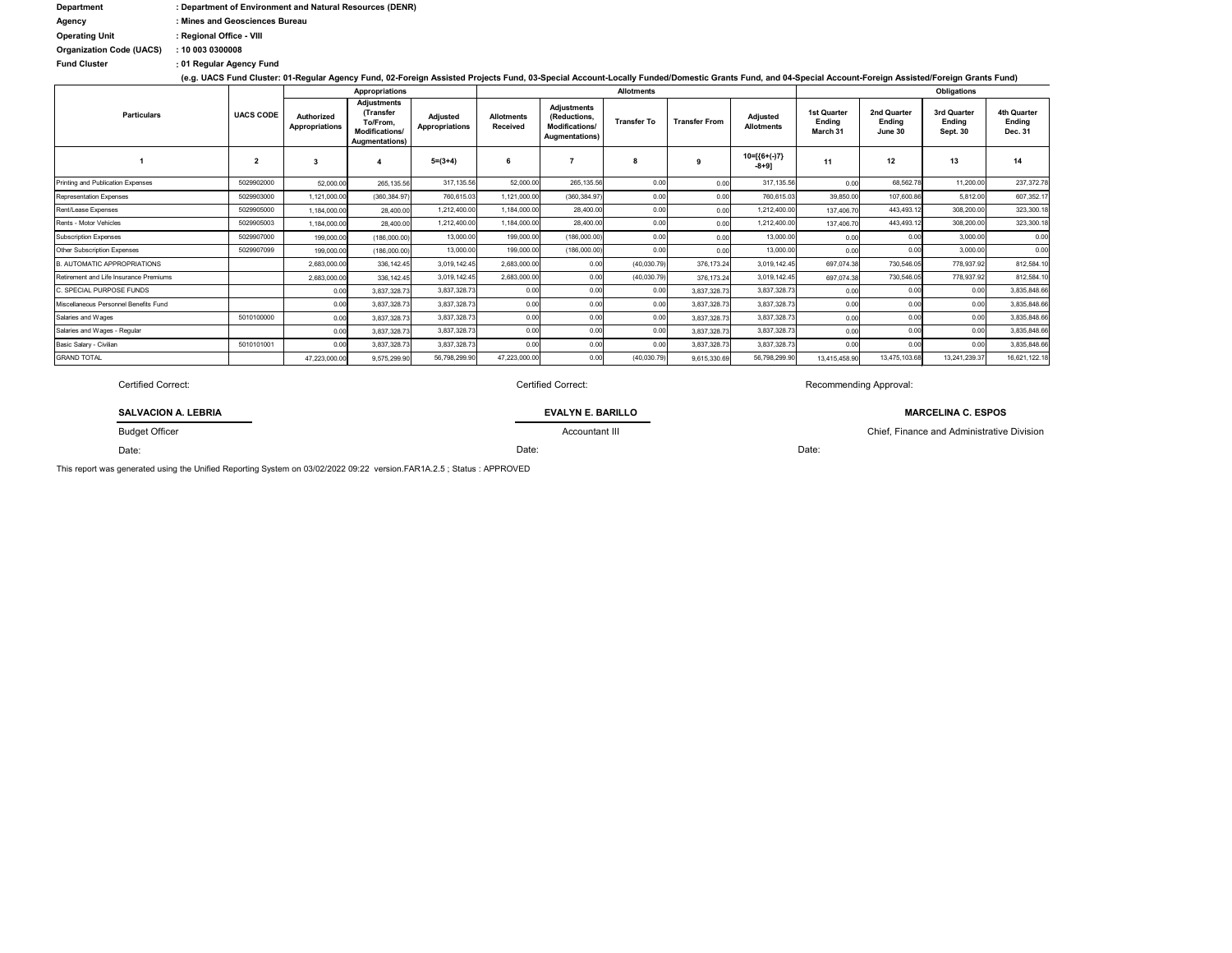| <b>Department</b>               | : Department of Environment and Natural Resources (DENR) |
|---------------------------------|----------------------------------------------------------|
| Agency                          | : Mines and Geosciences Bureau                           |
| <b>Operating Unit</b>           | : Regional Office - VIII                                 |
| <b>Organization Code (UACS)</b> | : 100030300008                                           |
| <b>Fund Cluster</b>             | : 01 Regular Agency Fund                                 |

**(e.g. UACS Fund Cluster: 01-Regular Agency Fund, 02-Foreign Assisted Projects Fund, 03-Special Account-Locally Funded/Domestic Grants Fund, and 04-Special Account-Foreign Assisted/Foreign Grants Fund)**

|                                        | <b>UACS CODE</b>        | <b>Appropriations</b>               |                                                                                        |                                   |                                      |                                                                        | <b>Allotments</b>  |                      |                               | Obligations                                     |                                         |                                          |                                         |  |
|----------------------------------------|-------------------------|-------------------------------------|----------------------------------------------------------------------------------------|-----------------------------------|--------------------------------------|------------------------------------------------------------------------|--------------------|----------------------|-------------------------------|-------------------------------------------------|-----------------------------------------|------------------------------------------|-----------------------------------------|--|
| <b>Particulars</b>                     |                         | Authorized<br><b>Appropriations</b> | <b>Adjustments</b><br>(Transfer<br>To/From.<br>Modifications/<br><b>Augmentations)</b> | Adjusted<br><b>Appropriations</b> | <b>Allotments</b><br><b>Received</b> | <b>Adjustments</b><br>(Reductions,<br>Modifications/<br>Augmentations) | <b>Transfer To</b> | <b>Transfer From</b> | Adjusted<br><b>Allotments</b> | <b>1st Quarter</b><br><b>Ending</b><br>March 31 | 2nd Quarter<br><b>Ending</b><br>June 30 | 3rd Quarter<br>Endina<br><b>Sept. 30</b> | <b>4th Quarter</b><br>Ending<br>Dec. 31 |  |
|                                        | $\overline{\mathbf{2}}$ | 3                                   |                                                                                        | $5=(3+4)$                         |                                      |                                                                        |                    |                      | $10=[(6+(-)7)]$<br>$-8+9]$    | 11                                              | 12                                      | 13                                       | 14                                      |  |
| Printing and Publication Expenses      | 5029902000              | 52,000.00                           | 265,135.56                                                                             | 317,135.56                        | 52,000.00                            | 265, 135.56                                                            | 0.00               | 0.00                 | 317, 135.56                   | 0.00                                            | 68,562.78                               | 11,200.00                                | 237,372.78                              |  |
| <b>Representation Expenses</b>         | 5029903000              | 1,121,000.00                        | (360, 384.97)                                                                          | 760,615.03                        | 1,121,000.00                         | (360, 384.97                                                           | 0.00               | 0.00                 | 760,615.03                    | 39,850.00                                       | 107,600.86                              | 5,812.00                                 | 607,352.17                              |  |
| Rent/Lease Expenses                    | 5029905000              | 1,184,000.00                        | 28,400.00                                                                              | 1,212,400.00                      | 1,184,000.00                         | 28,400.00                                                              | 0.00               | 0.00                 | 1,212,400.00                  | 137,406.70                                      | 443,493.12                              | 308,200.00                               | 323,300.18                              |  |
| Rents - Motor Vehicles                 | 5029905003              | 1,184,000.00                        | 28,400.00                                                                              | 1,212,400.00                      | 1,184,000.00                         | 28,400.00                                                              | 0.00               | 0.00                 | 1,212,400.00                  | 137,406.70                                      | 443,493.12                              | 308,200.00                               | 323,300.18                              |  |
| <b>Subscription Expenses</b>           | 5029907000              | 199,000.00                          | (186,000.00)                                                                           | 13,000.00                         | 199,000.00                           | (186,000.00)                                                           | 0.00               | 0.00                 | 13,000.00                     | 0.00                                            | 0.00                                    | 3,000.00                                 | 0.00                                    |  |
| <b>Other Subscription Expenses</b>     | 5029907099              | 199,000.00                          | (186,000.00)                                                                           | 13,000.00                         | 199,000.00                           | (186,000.00)                                                           | 0.00               | 0.00                 | 13,000.00                     | 0.00                                            | 0.00                                    | 3,000.00                                 | 0.00                                    |  |
| <b>B. AUTOMATIC APPROPRIATIONS</b>     |                         | 2,683,000.00                        | 336, 142.45                                                                            | 3,019,142.45                      | 2,683,000.00                         | 0.00                                                                   | (40,030.79)        | 376, 173.24          | 3,019,142.45                  | 697,074.38                                      | 730,546.05                              | 778,937.92                               | 812,584.10                              |  |
| Retirement and Life Insurance Premiums |                         | 2,683,000.00                        | 336, 142. 45                                                                           | 3,019,142.45                      | 2,683,000.00                         | 0.00                                                                   | (40,030.79)        | 376, 173.24          | 3,019,142.45                  | 697,074.38                                      | 730,546.05                              | 778,937.92                               | 812,584.10                              |  |
| C. SPECIAL PURPOSE FUNDS               |                         | 0.00                                | 3,837,328.73                                                                           | 3,837,328.73                      | 0.00                                 | 0.00                                                                   | 0.00               | 3,837,328.73         | 3,837,328.73                  | 0.00                                            | 0.00                                    | 0.00                                     | 3,835,848.66                            |  |
| Miscellaneous Personnel Benefits Fund  |                         | 0.00                                | 3,837,328.73                                                                           | 3,837,328.73                      | 0.00                                 | 0.00                                                                   | 0.00               | 3,837,328.73         | 3,837,328.73                  | 0.00                                            | 0.00                                    | 0.00                                     | 3,835,848.66                            |  |
| Salaries and Wages                     | 5010100000              | 0.00                                | 3,837,328.73                                                                           | 3,837,328.73                      | 0.00                                 | 0.00                                                                   | 0.00               | 3,837,328.7          | 3,837,328.73                  | 0.00                                            | 0.00                                    | 0.00                                     | 3,835,848.66                            |  |
| Salaries and Wages - Regular           |                         | 0.00                                | 3,837,328.73                                                                           | 3,837,328.73                      | 0.00                                 | 0.00                                                                   | 0.00               | 3,837,328.73         | 3,837,328.73                  | 0.00                                            | 0.00                                    | 0.00                                     | 3,835,848.66                            |  |
| Basic Salary - Civilian                | 5010101001              | 0.00                                | 3,837,328.73                                                                           | 3,837,328.73                      | 0.00                                 | 0.00                                                                   | 0.00               | 3,837,328.73         | 3,837,328.73                  | 0.00                                            | 0.00                                    | 0.00                                     | 3,835,848.66                            |  |
| <b>GRAND TOTAL</b>                     |                         | 47,223,000.00                       | 9,575,299.90                                                                           | 56,798,299.90                     | 47,223,000.00                        | 0.00                                                                   | (40,030.79)        | 9,615,330.69         | 56,798,299.90                 | 13,415,458.90                                   | 13,475,103.68                           | 13,241,239.37                            | 16,621,122.18                           |  |

Certified Correct: Certified Correct:

This report was generated using the Unified Reporting System on 03/02/2022 09:22 version.FAR1A.2.5 ; Status : APPROVED

Budget Officer

Date:

**SALVACION A. LEBRIA**

Recommending Approval:

Date:

**EVALYN E. BARILLO**

Accountant III

## **MARCELINA C. ESPOS**

Chief, Finance and Administrative Division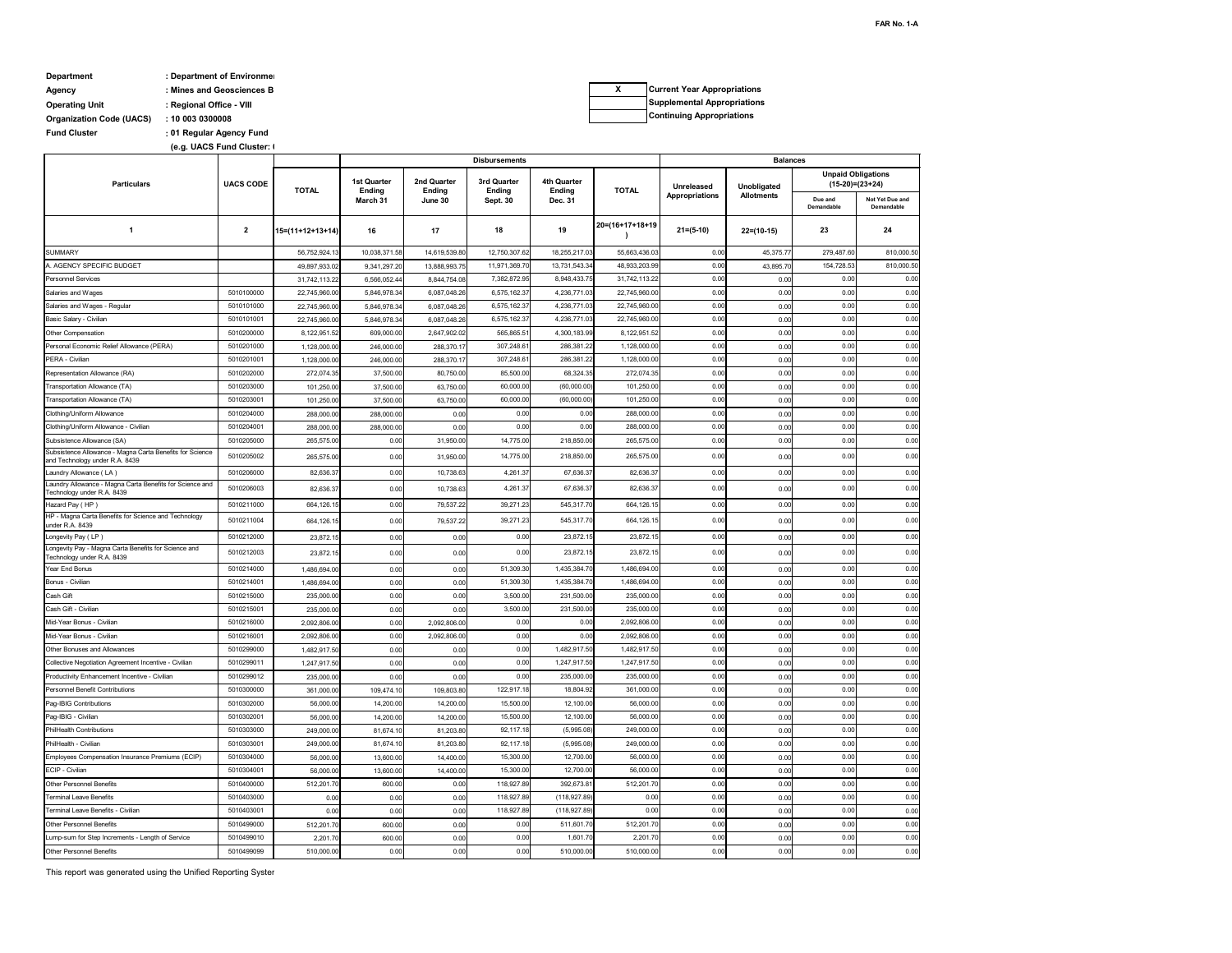## **Department : Department of Environment Agency : Mines and Geosciences B Operating Unit : Regional Office - VIII**

**: Fund Cluster 01 Regular Agency Fund (e.g. UACS Fund Cluster: 0** 

**Organization Code (UACS) : 10 003 0300008**

This report was generated using the Unified Reporting System

|                                                                                            | <b>UACS CODE</b>         | <b>Disbursements</b>       |                                     |                       |                              |                                     |                           | <b>Balances</b>       |                   |                                              |                               |  |  |
|--------------------------------------------------------------------------------------------|--------------------------|----------------------------|-------------------------------------|-----------------------|------------------------------|-------------------------------------|---------------------------|-----------------------|-------------------|----------------------------------------------|-------------------------------|--|--|
| <b>Particulars</b>                                                                         |                          | <b>TOTAL</b>               | <b>1st Quarter</b><br><b>Ending</b> | 2nd Quarter<br>Ending | 3rd Quarter<br><b>Ending</b> | <b>4th Quarter</b><br><b>Ending</b> | <b>TOTAL</b>              | Unreleased            | Unobligated       | <b>Unpaid Obligations</b><br>(15-20)=(23+24) |                               |  |  |
|                                                                                            |                          |                            | March 31                            | June 30               | Sept. 30                     | Dec. 31                             |                           | <b>Appropriations</b> | <b>Allotments</b> | Due and<br>Demandable                        | Not Yet Due and<br>Demandable |  |  |
| $\overline{1}$                                                                             | $\overline{2}$           | $15=(11+12+13+14)$         | 16                                  | 17                    | 18                           | 19                                  | $20=(16+17+18+19)$        | $21 = (5-10)$         | $22=(10-15)$      | 23                                           | 24                            |  |  |
| <b>SUMMARY</b>                                                                             |                          | 56,752,924.13              | 10,038,371.58                       | 14,619,539.80         | 12,750,307.62                | 18,255,217.03                       | 55,663,436.03             | 0.00                  | 45,375.77         | 279,487.60                                   | 810,000.50                    |  |  |
| A. AGENCY SPECIFIC BUDGET                                                                  |                          | 49,897,933.02              | 9,341,297.20                        | 13,888,993.7          | 11.971.369.70                | 13,731,543.34                       | 48,933,203.99             | 0.00                  | 43,895.70         | 154,728.53                                   | 810,000.50                    |  |  |
| <b>Personnel Services</b>                                                                  |                          | 31,742,113.22              | 6,566,052.44                        | 8,844,754.08          | 7,382,872.95                 | 8,948,433.75                        | 31,742,113.22             | 0.00                  | 0.00              | 0.00                                         | 0.00                          |  |  |
| Salaries and Wages                                                                         | 5010100000               | 22,745,960.00              | 5,846,978.34                        | 6,087,048.26          | 6,575,162.37                 | 4,236,771.03                        | 22,745,960.00             | 0.00                  | 0.00              | 0.00                                         | 0.00                          |  |  |
| Salaries and Wages - Regular                                                               | 5010101000               | 22,745,960.00              | 5,846,978.34                        | 6,087,048.26          | 6,575,162.37                 | 4,236,771.03                        | 22,745,960.00             | 0.00                  | 0.00              | 0.00                                         | 0.00                          |  |  |
| Basic Salary - Civilian                                                                    | 5010101001               | 22,745,960.00              | 5,846,978.34                        | 6,087,048.26          | 6,575,162.37                 | 4,236,771.03                        | 22,745,960.00             | 0.00                  | 0.00              | 0.00                                         | 0.00                          |  |  |
| Other Compensation                                                                         | 5010200000               | 8,122,951.52               | 609,000.00                          | 2,647,902.02          | 565,865.51                   | 4,300,183.99                        | 8,122,951.52              | 0.00                  | 0.00              | 0.00                                         | 0.00                          |  |  |
| Personal Economic Relief Allowance (PERA)                                                  | 5010201000               | 1,128,000.00               | 246,000.00                          | 288,370.1             | 307,248.61                   | 286,381.22                          | 1,128,000.00              | 0.00                  | 0.00              | 0.00                                         | 0.00                          |  |  |
| PERA - Civilian                                                                            | 5010201001               | 1,128,000.00               | 246,000.00                          | 288,370.1             | 307,248.61                   | 286,381.22                          | 1,128,000.00              | 0.00                  | 0.00              | 0.00                                         | 0.00                          |  |  |
| Representation Allowance (RA)                                                              | 5010202000               | 272,074.35                 | 37,500.00                           | 80,750.00             | 85,500.00                    | 68,324.35                           | 272,074.35                | 0.00                  | 0.00              | 0.00                                         | 0.00                          |  |  |
| Transportation Allowance (TA)                                                              | 5010203000               | 101,250.00                 | 37,500.00                           | 63,750.00             | 60,000.00                    | (60,000.00)                         | 101,250.00                | 0.00                  | 0.00              | 0.00                                         | 0.00                          |  |  |
| Transportation Allowance (TA)                                                              | 5010203001               | 101,250.00                 | 37,500.00                           | 63,750.00             | 60,000.00                    | (60,000.00)                         | 101,250.00                | 0.00                  | 0.00              | 0.00                                         | 0.00                          |  |  |
| Clothing/Uniform Allowance                                                                 | 5010204000               | 288,000.00                 | 288,000.00                          | 0.00                  | 0.00                         | 0.00                                | 288,000.00                | 0.00                  | 0.00              | 0.00                                         | 0.00                          |  |  |
| Clothing/Uniform Allowance - Civilian                                                      | 5010204001               | 288,000.00                 | 288,000.00                          | 0.00                  | 0.00                         | 0.00                                | 288,000.00                | 0.00                  | 0.00              | 0.00                                         | 0.00                          |  |  |
| Subsistence Allowance (SA)                                                                 | 5010205000               | 265,575.00                 | 0.00                                | 31,950.00             | 14,775.00                    | 218,850.00                          | 265,575.00                | 0.00                  | 0.00              | 0.00                                         | 0.00                          |  |  |
| Subsistence Allowance - Magna Carta Benefits for Science<br>and Technology under R.A. 8439 | 5010205002               | 265,575.00                 | 0.00                                | 31,950.00             | 14,775.00                    | 218,850.00                          | 265,575.00                | 0.00                  | 0.00              | 0.00                                         | 0.00                          |  |  |
| Laundry Allowance (LA)<br>Laundry Allowance - Magna Carta Benefits for Science and         | 5010206000               | 82,636.37                  | 0.00                                | 10,738.63             | 4,261.37                     | 67,636.37                           | 82,636.37                 | 0.00                  | 0.00              | 0.00                                         | 0.00                          |  |  |
| Technology under R.A. 8439                                                                 | 5010206003               | 82,636.37                  | 0.00                                | 10,738.63             | 4,261.37                     | 67,636.37                           | 82,636.37                 | 0.00                  | 0.00              | 0.00                                         | 0.00                          |  |  |
| Hazard Pay (HP)<br>HP - Magna Carta Benefits for Science and Technology                    | 5010211000               | 664,126.15                 | 0.00                                | 79,537.22             | 39,271.23                    | 545,317.70                          | 664,126.15                | 0.00                  | 0.00              | 0.00                                         | 0.00                          |  |  |
| under R.A. 8439                                                                            | 5010211004               | 664,126.15                 | 0.00                                | 79,537.22             | 39,271.23                    | 545,317.70                          | 664,126.15                | 0.00<br>0.00          | 0.00              | 0.00<br>0.00                                 | 0.00                          |  |  |
| Longevity Pay (LP)<br>Longevity Pay - Magna Carta Benefits for Science and                 | 5010212000               | 23,872.15                  | 0.00                                | 0.00                  | 0.00                         | 23,872.15                           | 23,872.15                 |                       | 0.00              |                                              | 0.00                          |  |  |
| Technology under R.A. 8439<br>Year End Bonus                                               | 5010212003<br>5010214000 | 23,872.15                  | 0.00<br>0.00                        | 0.00                  | 0.00<br>51,309.30            | 23,872.15<br>1,435,384.70           | 23,872.15<br>1,486,694.00 | 0.00<br>0.00          | 0.00              | 0.00<br>0.00                                 | 0.00<br>0.00                  |  |  |
| Bonus - Civilian                                                                           | 5010214001               | 1,486,694.00               | 0.00                                | 0.00                  | 51,309.30                    | 1,435,384.70                        | 1,486,694.00              | 0.00                  | 0.00<br>0.00      | 0.00                                         | 0.00                          |  |  |
| Cash Gift                                                                                  | 5010215000               | 1,486,694.00<br>235,000.00 | 0.00                                | 0.00<br>0.00          | 3,500.00                     | 231,500.00                          | 235,000.00                | 0.00                  | 0.00              | 0.00                                         | 0.00                          |  |  |
| Cash Gift - Civilian                                                                       | 5010215001               | 235,000.00                 | 0.00                                | 0.00                  | 3,500.00                     | 231,500.00                          | 235,000.00                | 0.00                  | 0.00              | 0.00                                         | 0.00                          |  |  |
| Mid-Year Bonus - Civilian                                                                  | 5010216000               | 2,092,806.00               | 0.00                                | 2,092,806.00          | 0.00                         | 0.00                                | 2,092,806.00              | 0.00                  | 0.00              | 0.00                                         | 0.00                          |  |  |
| Mid-Year Bonus - Civilian                                                                  | 5010216001               | 2,092,806.00               | 0.00                                | 2,092,806.00          | 0.00                         | 0.00                                | 2,092,806.00              | 0.00                  | 0.00              | 0.00                                         | 0.00                          |  |  |
| Other Bonuses and Allowances                                                               | 5010299000               | 1,482,917.50               | 0.00                                | 0.00                  | 0.00                         | 1,482,917.50                        | 1,482,917.50              | 0.00                  | 0.00              | 0.00                                         | 0.00                          |  |  |
| Collective Negotiation Agreement Incentive - Civilian                                      | 5010299011               | 1,247,917.50               | 0.00                                | 0.00                  | 0.00                         | 1,247,917.50                        | 1,247,917.50              | 0.00                  | 0.00              | 0.00                                         | 0.00                          |  |  |
| Productivity Enhancement Incentive - Civilian                                              | 5010299012               | 235,000.00                 | 0.00                                | 0.00                  | 0.00                         | 235,000.00                          | 235,000.00                | 0.00                  | 0.00              | 0.00                                         | 0.00                          |  |  |
| Personnel Benefit Contributions                                                            | 5010300000               | 361,000.00                 | 109,474.10                          | 109,803.80            | 122,917.18                   | 18,804.92                           | 361,000.00                | 0.00                  | 0.00              | 0.00                                         | 0.00                          |  |  |
| Pag-IBIG Contributions                                                                     | 5010302000               | 56,000.00                  | 14,200.00                           | 14,200.00             | 15,500.00                    | 12,100.00                           | 56,000.00                 | 0.00                  | 0.00              | 0.00                                         | 0.00                          |  |  |
| Pag-IBIG - Civilian                                                                        | 5010302001               | 56,000.00                  | 14,200.00                           | 14,200.00             | 15,500.00                    | 12,100.00                           | 56,000.00                 | 0.00                  | 0.00              | 0.00                                         | 0.00                          |  |  |
| <b>PhilHealth Contributions</b>                                                            | 5010303000               | 249,000.00                 | 81,674.10                           | 81,203.80             | 92,117.18                    | (5,995.08)                          | 249,000.00                | 0.00                  | 0.00              | 0.00                                         | 0.00                          |  |  |
| PhilHealth - Civilian                                                                      | 5010303001               | 249,000.00                 | 81,674.10                           | 81,203.80             | 92,117.18                    | (5,995.08)                          | 249,000.00                | 0.00                  | 0.00              | 0.00                                         | 0.00                          |  |  |
| Employees Compensation Insurance Premiums (ECIP)                                           | 5010304000               | 56,000.00                  | 13,600.00                           | 14,400.00             | 15,300.00                    | 12,700.00                           | 56,000.00                 | 0.00                  | 0.00              | 0.00                                         | 0.00                          |  |  |
| ECIP - Civilian                                                                            | 5010304001               | 56,000.00                  | 13,600.00                           | 14,400.00             | 15,300.00                    | 12,700.00                           | 56,000.00                 | 0.00                  | 0.00              | 0.00                                         | 0.00                          |  |  |
| <b>Other Personnel Benefits</b>                                                            | 5010400000               | 512,201.70                 | 600.00                              | 0.00                  | 118,927.89                   | 392,673.81                          | 512,201.70                | 0.00                  | 0.00              | 0.00                                         | 0.00                          |  |  |
| <b>Terminal Leave Benefits</b>                                                             | 5010403000               | 0.00                       | 0.00                                | 0.00                  | 118,927.89                   | (118, 927.89)                       | 0.00                      | 0.00                  | 0.00              | 0.00                                         | 0.00                          |  |  |
| Terminal Leave Benefits - Civilian                                                         | 5010403001               | 0.00                       | 0.00                                | 0.00                  | 118,927.89                   | (118, 927.89)                       | 0.00                      | 0.00                  | 0.00              | 0.00                                         | 0.00                          |  |  |
| <b>Other Personnel Benefits</b>                                                            | 5010499000               | 512,201.70                 | 600.00                              | 0.00                  | 0.00                         | 511,601.70                          | 512,201.70                | 0.00                  | 0.00              | 0.00                                         | 0.00                          |  |  |
| Lump-sum for Step Increments - Length of Service                                           | 5010499010               | 2,201.70                   | 600.00                              | 0.00                  | 0.00                         | 1,601.70                            | 2,201.70                  | 0.00                  | 0.00              | 0.00                                         | 0.00                          |  |  |
| <b>Other Personnel Benefits</b>                                                            | 5010499099               | 510,000.00                 | 0.00                                | 0.00                  | 0.00                         | 510,000.00                          | 510,000.00                | 0.00                  | 0.00              | 0.00                                         | 0.00                          |  |  |

| <b>Current Year Appropriations</b> |
|------------------------------------|
| <b>Supplemental Appropriations</b> |
| <b>Continuing Appropriations</b>   |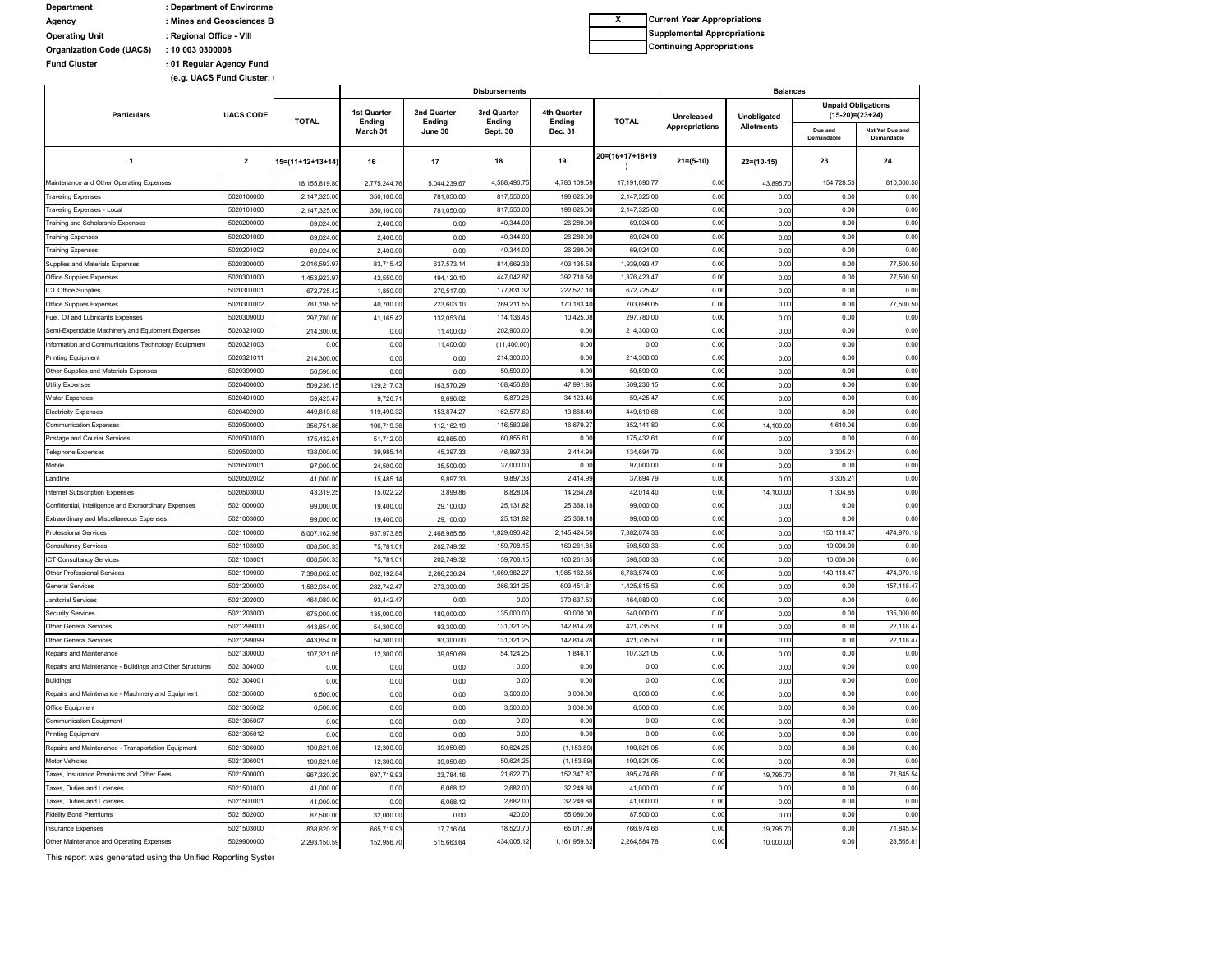| <b>Department</b>               | : Department of Environmer |
|---------------------------------|----------------------------|
| Agency                          | : Mines and Geosciences B  |
| <b>Operating Unit</b>           | : Regional Office - VIII   |
| <b>Organization Code (UACS)</b> | : 100030300008             |
| <b>Fund Cluster</b>             | : 01 Regular Agency Fund   |
|                                 | (e.g. UACS Fund Cluster: I |

This report was generated using the Unified Reporting System

|                                                          | <b>UACS CODE</b> |                    |                                          |                                  | <b>Disbursements</b>                     |                                         |                  | <b>Balances</b>                     |                                  |                                                |                               |
|----------------------------------------------------------|------------------|--------------------|------------------------------------------|----------------------------------|------------------------------------------|-----------------------------------------|------------------|-------------------------------------|----------------------------------|------------------------------------------------|-------------------------------|
| <b>Particulars</b>                                       |                  | <b>TOTAL</b>       | <b>1st Quarter</b><br>Ending<br>March 31 | 2nd Quarter<br>Ending<br>June 30 | 3rd Quarter<br>Ending<br><b>Sept. 30</b> | 4th Quarter<br><b>Ending</b><br>Dec. 31 | <b>TOTAL</b>     | <b>Unreleased</b><br>Appropriations | Unobligated<br><b>Allotments</b> | <b>Unpaid Obligations</b><br>$(15-20)=(23+24)$ |                               |
|                                                          |                  |                    |                                          |                                  |                                          |                                         |                  |                                     |                                  | Due and<br>Demandable                          | Not Yet Due and<br>Demandable |
| 1                                                        | $\mathbf{2}$     | $15=(11+12+13+14)$ | 16                                       | 17                               | 18                                       | 19                                      | 20=(16+17+18+19  | $21 = (5-10)$                       | $22=(10-15)$                     | 23                                             | 24                            |
| Maintenance and Other Operating Expenses                 |                  | 18, 155, 819.80    | 2,775,244.76                             | 5,044,239.67                     | 4,588,496.75                             | 4,783,109.59                            | 17, 191, 090. 77 | 0.00                                | 43,895.70                        | 154,728.53                                     | 810,000.50                    |
| <b>Traveling Expenses</b>                                | 5020100000       | 2,147,325.00       | 350,100.00                               | 781,050.00                       | 817,550.00                               | 198,625.00                              | 2,147,325.00     | 0.00                                | 0.00                             | 0.00                                           | 0.00                          |
| Traveling Expenses - Local                               | 5020101000       | 2,147,325.00       | 350,100.0                                | 781,050.00                       | 817,550.00                               | 198,625.00                              | 2,147,325.00     | 0.00                                | 0.00                             | 0.00                                           | 0.00                          |
| Training and Scholarship Expenses                        | 5020200000       | 69,024.00          | 2,400.00                                 | 0.00                             | 40,344.00                                | 26,280.00                               | 69,024.00        | 0.00                                | 0.00                             | 0.00                                           | 0.00                          |
| <b>Training Expenses</b>                                 | 5020201000       | 69,024.00          | 2,400.00                                 | 0.00                             | 40,344.00                                | 26,280.00                               | 69,024.00        | 0.00                                | 0.00                             | 0.00                                           | 0.00                          |
| <b>Training Expenses</b>                                 | 5020201002       | 69,024.00          | 2,400.00                                 | 0.00                             | 40,344.00                                | 26,280.00                               | 69,024.00        | 0.00                                | 0.00                             | 0.00                                           | 0.00                          |
| Supplies and Materials Expenses                          | 5020300000       | 2,016,593.97       | 83,715.42                                | 637,573.14                       | 814,669.33                               | 403,135.58                              | 1,939,093.47     | 0.00                                | 0.00                             | 0.00                                           | 77,500.50                     |
| <b>Office Supplies Expenses</b>                          | 5020301000       | 1,453,923.9        | 42,550.0                                 | 494,120.10                       | 447,042.87                               | 392,710.50                              | 1,376,423.47     | 0.00                                | 0.00                             | 0.00                                           | 77,500.50                     |
| <b>ICT Office Supplies</b>                               | 5020301001       | 672,725.42         | 1,850.00                                 | 270,517.00                       | 177,831.32                               | 222,527.10                              | 672,725.42       | 0.00                                | 0.00                             | 0.00                                           | 0.00                          |
| <b>Office Supplies Expenses</b>                          | 5020301002       | 781,198.55         | 40,700.00                                | 223,603.10                       | 269,211.55                               | 170,183.40                              | 703,698.05       | 0.00                                | 0.00                             | 0.00                                           | 77,500.50                     |
| Fuel, Oil and Lubricants Expenses                        | 5020309000       | 297,780.00         | 41,165.42                                | 132,053.04                       | 114,136.46                               | 10,425.08                               | 297,780.00       | 0.00                                | 0.00                             | 0.00                                           | 0.00                          |
| Semi-Expendable Machinery and Equipment Expenses         | 5020321000       | 214,300.00         | 0.00                                     | 11,400.00                        | 202,900.00                               | 0.00                                    | 214,300.00       | 0.00                                | 0.00                             | 0.00                                           | 0.00                          |
| Information and Communications Technology Equipment      | 5020321003       | 0.00               | 0.00                                     | 11,400.00                        | (11,400.00)                              | 0.00                                    | 0.00             | 0.00                                | 0.00                             | 0.00                                           | 0.00                          |
| <b>Printing Equipment</b>                                | 5020321011       | 214,300.00         | 0.00                                     | 0.00                             | 214,300.00                               | 0.00                                    | 214,300.00       | 0.00                                | 0.00                             | 0.00                                           | 0.00                          |
| Other Supplies and Materials Expenses                    | 5020399000       | 50,590.00          | 0.00                                     | 0.00                             | 50,590.00                                | 0.00                                    | 50,590.00        | 0.00                                | 0.00                             | 0.00                                           | 0.00                          |
| <b>Utility Expenses</b>                                  | 5020400000       | 509,236.15         | 129,217.03                               | 163,570.29                       | 168,456.88                               | 47,991.95                               | 509,236.15       | 0.00                                | 0.00                             | 0.00                                           | 0.00                          |
| <b>Water Expenses</b>                                    | 5020401000       | 59,425.47          | 9,726.7                                  | 9,696.02                         | 5,879.28                                 | 34,123.46                               | 59,425.47        | 0.00                                | 0.00                             | 0.00                                           | 0.00                          |
| <b>Electricity Expenses</b>                              | 5020402000       | 449,810.68         | 119,490.3                                | 153,874.27                       | 162,577.60                               | 13,868.49                               | 449,810.68       | 0.00                                | 0.00                             | 0.00                                           | 0.00                          |
| <b>Communication Expenses</b>                            | 5020500000       | 356,751.86         | 106,719.36                               | 112,162.19                       | 116,580.98                               | 16,679.27                               | 352,141.80       | 0.00                                | 14,100.00                        | 4,610.06                                       | 0.00                          |
| Postage and Courier Services                             | 5020501000       | 175,432.61         | 51,712.00                                | 62,865.00                        | 60,855.61                                | 0.00                                    | 175,432.61       | 0.00                                | 0.00                             | 0.00                                           | 0.00                          |
| <b>Telephone Expenses</b>                                | 5020502000       | 138,000.00         | 39,985.1                                 | 45,397.33                        | 46,897.33                                | 2,414.99                                | 134,694.79       | 0.00                                | 0.00                             | 3,305.21                                       | 0.00                          |
| Mobile                                                   | 5020502001       | 97,000.00          | 24,500.00                                | 35,500.00                        | 37,000.00                                | 0.00                                    | 97,000.00        | 0.00                                | 0.00                             | 0.00                                           | 0.00                          |
| Landline                                                 | 5020502002       | 41,000.00          | 15,485.1                                 | 9,897.33                         | 9,897.33                                 | 2,414.99                                | 37,694.79        | 0.00                                | 0.00                             | 3,305.21                                       | 0.00                          |
| Internet Subscription Expenses                           | 5020503000       | 43,319.25          | 15,022.22                                | 3,899.86                         | 8,828.04                                 | 14,264.28                               | 42,014.40        | 0.00                                | 14,100.00                        | 1,304.85                                       | 0.00                          |
| Confidential, Intelligence and Extraordinary Expenses    | 5021000000       | 99,000.00          | 19,400.00                                | 29,100.00                        | 25,131.82                                | 25,368.18                               | 99,000.00        | 0.00                                | 0.00                             | 0.00                                           | 0.00                          |
| Extraordinary and Miscellaneous Expenses                 | 5021003000       | 99,000.00          | 19,400.00                                | 29,100.00                        | 25,131.82                                | 25,368.18                               | 99,000.00        | 0.00                                | 0.00                             | 0.00                                           | 0.00                          |
| <b>Professional Services</b>                             | 5021100000       | 8,007,162.98       | 937,973.85                               | 2,468,985.56                     | 1,829,690.42                             | 2,145,424.50                            | 7,382,074.33     | 0.00                                | 0.00                             | 150,118.47                                     | 474,970.18                    |
| <b>Consultancy Services</b>                              | 5021103000       | 608,500.33         | 75,781.0                                 | 202,749.32                       | 159,708.15                               | 160,261.85                              | 598,500.33       | 0.00                                | 0.00                             | 10,000.00                                      | 0.00                          |
| <b>ICT Consultancy Services</b>                          | 5021103001       | 608,500.33         | 75,781.0                                 | 202,749.32                       | 159,708.15                               | 160,261.85                              | 598,500.33       | 0.00                                | 0.00                             | 10,000.00                                      | 0.00                          |
| <b>Other Professional Services</b>                       | 5021199000       | 7,398,662.65       | 862,192.84                               | 2,266,236.24                     | 1,669,982.27                             | 1,985,162.65                            | 6,783,574.00     | 0.00                                | 0.00                             | 140,118.47                                     | 474,970.18                    |
| <b>General Services</b>                                  | 5021200000       | 1,582,934.00       | 282,742.47                               | 273,300.00                       | 266,321.25                               | 603,451.81                              | 1,425,815.53     | 0.00                                | 0.00                             | 0.00                                           | 157,118.47                    |
| <b>Janitorial Services</b>                               | 5021202000       | 464,080.00         | 93,442.47                                | 0.00                             | 0.00                                     | 370,637.53                              | 464,080.00       | 0.00                                | 0.00                             | 0.00                                           | 0.00                          |
| <b>Security Services</b>                                 | 5021203000       | 675,000.00         | 135,000.00                               | 180,000.00                       | 135,000.00                               | 90,000.00                               | 540,000.00       | 0.00                                | 0.00                             | 0.00                                           | 135,000.00                    |
| <b>Other General Services</b>                            | 5021299000       | 443,854.00         | 54,300.00                                | 93,300.00                        | 131,321.25                               | 142,814.28                              | 421,735.53       | 0.00                                | 0.00                             | 0.00                                           | 22,118.47                     |
| <b>Other General Services</b>                            | 5021299099       | 443,854.00         | 54,300.00                                | 93,300.00                        | 131,321.25                               | 142,814.28                              | 421,735.53       | 0.00                                | 0.00                             | 0.00                                           | 22,118.47                     |
| Repairs and Maintenance                                  | 5021300000       | 107,321.05         | 12,300.00                                | 39,050.69                        | 54,124.25                                | 1,846.11                                | 107,321.05       | 0.00                                | 0.00                             | 0.00                                           | 0.00                          |
| Repairs and Maintenance - Buildings and Other Structures | 5021304000       | 0.00               | 0.00                                     | 0.00                             | 0.00                                     | 0.00                                    | 0.00             | 0.00                                | 0.00                             | 0.00                                           | 0.00                          |
| <b>Buildings</b>                                         | 5021304001       | 0.00               | 0.00                                     | 0.00                             | 0.00                                     | 0.00                                    | 0.00             | 0.00                                | 0.00                             | 0.00                                           | 0.00                          |
| Repairs and Maintenance - Machinery and Equipment        | 5021305000       | 6,500.00           | 0.00                                     | 0.00                             | 3,500.00                                 | 3,000.00                                | 6,500.00         | 0.00                                | 0.00                             | 0.00                                           | 0.00                          |
| Office Equipment                                         | 5021305002       | 6,500.00           | 0.00                                     | 0.00                             | 3,500.00                                 | 3,000.00                                | 6,500.00         | 0.00                                | 0.00                             | 0.00                                           | 0.00                          |
| <b>Communication Equipment</b>                           | 5021305007       | 0.00               | 0.00                                     | 0.00                             | 0.00                                     | 0.00                                    | 0.00             | 0.00                                | 0.00                             | 0.00                                           | 0.00                          |
| <b>Printing Equipment</b>                                | 5021305012       | 0.00               | 0.00                                     | 0.00                             | 0.00                                     | 0.00                                    | 0.00             | 0.00                                | 0.00                             | 0.00                                           | 0.00                          |
| Repairs and Maintenance - Transportation Equipment       | 5021306000       | 100,821.05         | 12,300.00                                | 39,050.69                        | 50,624.25                                | (1, 153.89)                             | 100,821.05       | 0.00                                | 0.00                             | 0.00                                           | 0.00                          |
| Motor Vehicles                                           | 5021306001       | 100,821.05         | 12,300.00                                | 39,050.69                        | 50,624.25                                | (1, 153.89)                             | 100,821.05       | 0.00                                | 0.00                             | 0.00                                           | 0.00                          |
| Taxes, Insurance Premiums and Other Fees                 | 5021500000       | 967,320.20         | 697,719.93                               | 23,784.16                        | 21,622.70                                | 152,347.87                              | 895,474.66       | 0.00                                | 19,795.70                        | 0.00                                           | 71,845.54                     |
| Taxes, Duties and Licenses                               | 5021501000       | 41,000.00          | 0.00                                     | 6,068.12                         | 2,682.00                                 | 32,249.88                               | 41,000.00        | 0.00                                | 0.00                             | 0.00                                           | 0.00                          |
| Taxes, Duties and Licenses                               | 5021501001       | 41,000.00          | 0.00                                     | 6,068.12                         | 2,682.00                                 | 32,249.88                               | 41,000.00        | 0.00                                | 0.00                             | 0.00                                           | 0.00                          |
| <b>Fidelity Bond Premiums</b>                            | 5021502000       | 87,500.00          | 32,000.00                                | 0.00                             | 420.00                                   | 55,080.00                               | 87,500.00        | 0.00                                | 0.00                             | 0.00                                           | 0.00                          |
| <b>Insurance Expenses</b>                                | 5021503000       | 838,820.20         | 665,719.93                               | 17,716.04                        | 18,520.70                                | 65,017.99                               | 766,974.66       | 0.00                                | 19,795.70                        | 0.00                                           | 71,845.54                     |
| Other Maintenance and Operating Expenses                 | 5029900000       | 2,293,150.59       | 152,956.70                               | 515,663.64                       | 434,005.12                               | 1,161,959.32                            | 2,264,584.78     | 0.00                                | 10,000.00                        | 0.00                                           | 28,565.81                     |

**X Current Year Appropriations Supplemental Appropriations Continuing Appropriations**